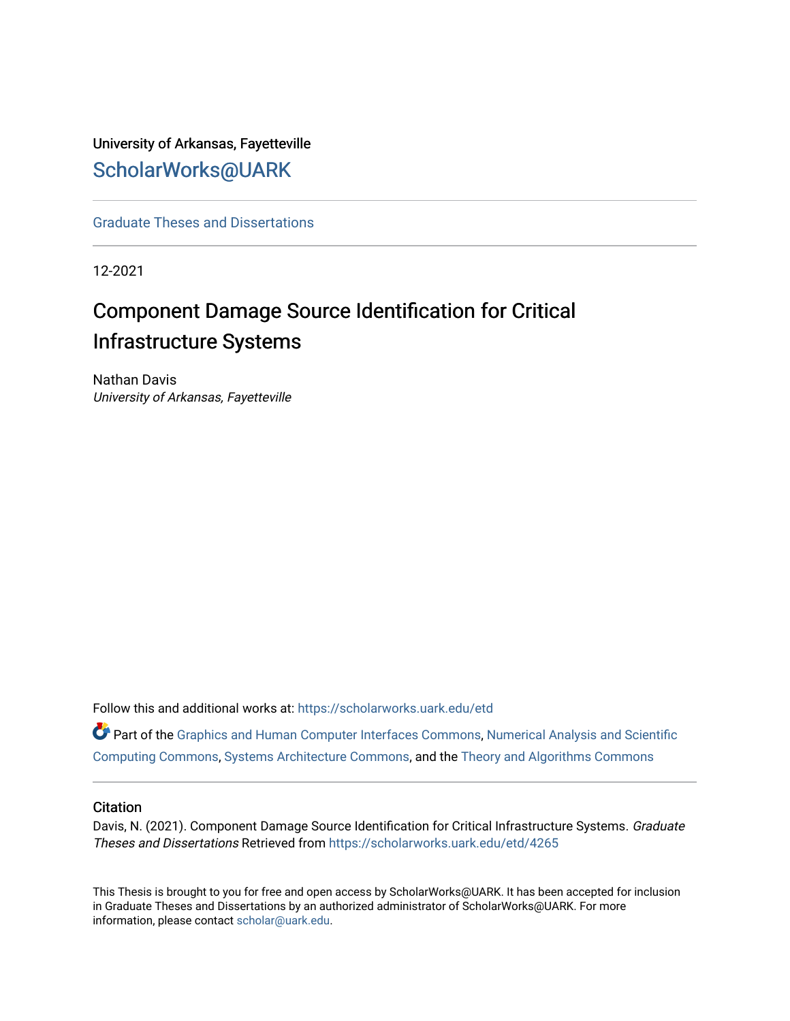## University of Arkansas, Fayetteville [ScholarWorks@UARK](https://scholarworks.uark.edu/)

[Graduate Theses and Dissertations](https://scholarworks.uark.edu/etd) 

12-2021

# Component Damage Source Identification for Critical Infrastructure Systems

Nathan Davis University of Arkansas, Fayetteville

Follow this and additional works at: [https://scholarworks.uark.edu/etd](https://scholarworks.uark.edu/etd?utm_source=scholarworks.uark.edu%2Fetd%2F4265&utm_medium=PDF&utm_campaign=PDFCoverPages)

Part of the [Graphics and Human Computer Interfaces Commons,](http://network.bepress.com/hgg/discipline/146?utm_source=scholarworks.uark.edu%2Fetd%2F4265&utm_medium=PDF&utm_campaign=PDFCoverPages) [Numerical Analysis and Scientific](http://network.bepress.com/hgg/discipline/147?utm_source=scholarworks.uark.edu%2Fetd%2F4265&utm_medium=PDF&utm_campaign=PDFCoverPages) [Computing Commons,](http://network.bepress.com/hgg/discipline/147?utm_source=scholarworks.uark.edu%2Fetd%2F4265&utm_medium=PDF&utm_campaign=PDFCoverPages) [Systems Architecture Commons](http://network.bepress.com/hgg/discipline/144?utm_source=scholarworks.uark.edu%2Fetd%2F4265&utm_medium=PDF&utm_campaign=PDFCoverPages), and the [Theory and Algorithms Commons](http://network.bepress.com/hgg/discipline/151?utm_source=scholarworks.uark.edu%2Fetd%2F4265&utm_medium=PDF&utm_campaign=PDFCoverPages) 

#### **Citation**

Davis, N. (2021). Component Damage Source Identification for Critical Infrastructure Systems. Graduate Theses and Dissertations Retrieved from [https://scholarworks.uark.edu/etd/4265](https://scholarworks.uark.edu/etd/4265?utm_source=scholarworks.uark.edu%2Fetd%2F4265&utm_medium=PDF&utm_campaign=PDFCoverPages)

This Thesis is brought to you for free and open access by ScholarWorks@UARK. It has been accepted for inclusion in Graduate Theses and Dissertations by an authorized administrator of ScholarWorks@UARK. For more information, please contact [scholar@uark.edu.](mailto:scholar@uark.edu)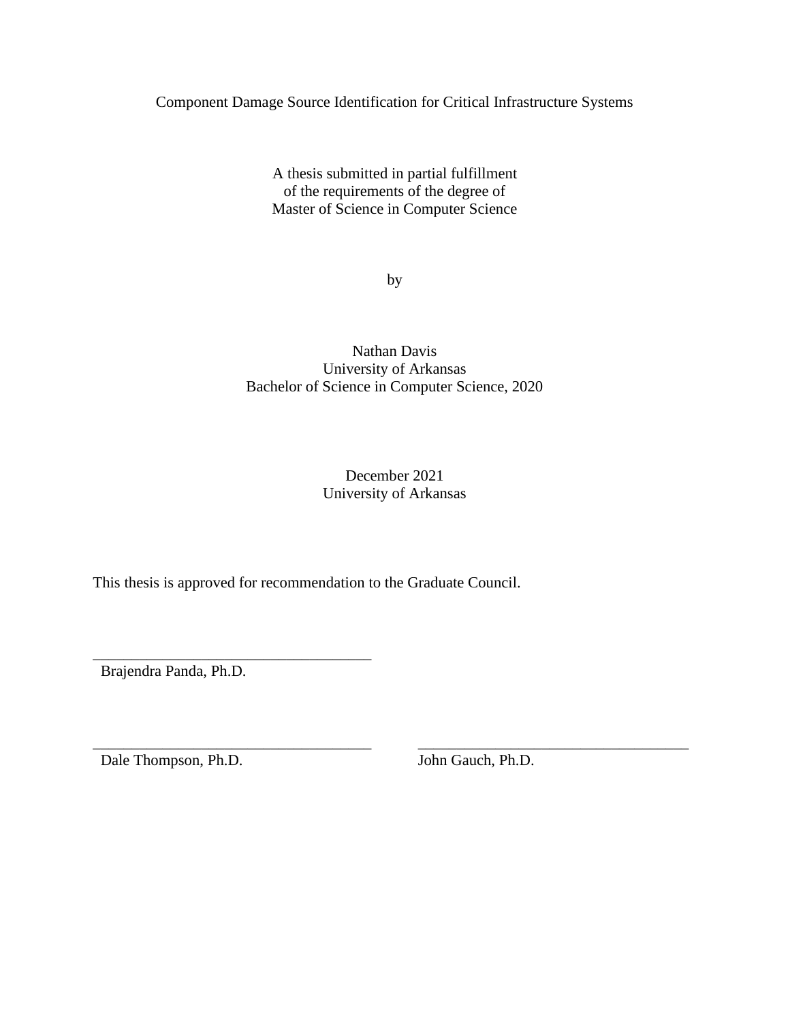Component Damage Source Identification for Critical Infrastructure Systems

A thesis submitted in partial fulfillment of the requirements of the degree of Master of Science in Computer Science

by

Nathan Davis University of Arkansas Bachelor of Science in Computer Science, 2020

> December 2021 University of Arkansas

\_\_\_\_\_\_\_\_\_\_\_\_\_\_\_\_\_\_\_\_\_\_\_\_\_\_\_\_\_\_\_\_\_\_\_\_ \_\_\_\_\_\_\_\_\_\_\_\_\_\_\_\_\_\_\_\_\_\_\_\_\_\_\_\_\_\_\_\_\_\_\_

This thesis is approved for recommendation to the Graduate Council.

Brajendra Panda, Ph.D.

\_\_\_\_\_\_\_\_\_\_\_\_\_\_\_\_\_\_\_\_\_\_\_\_\_\_\_\_\_\_\_\_\_\_\_\_

Dale Thompson, Ph.D. John Gauch, Ph.D.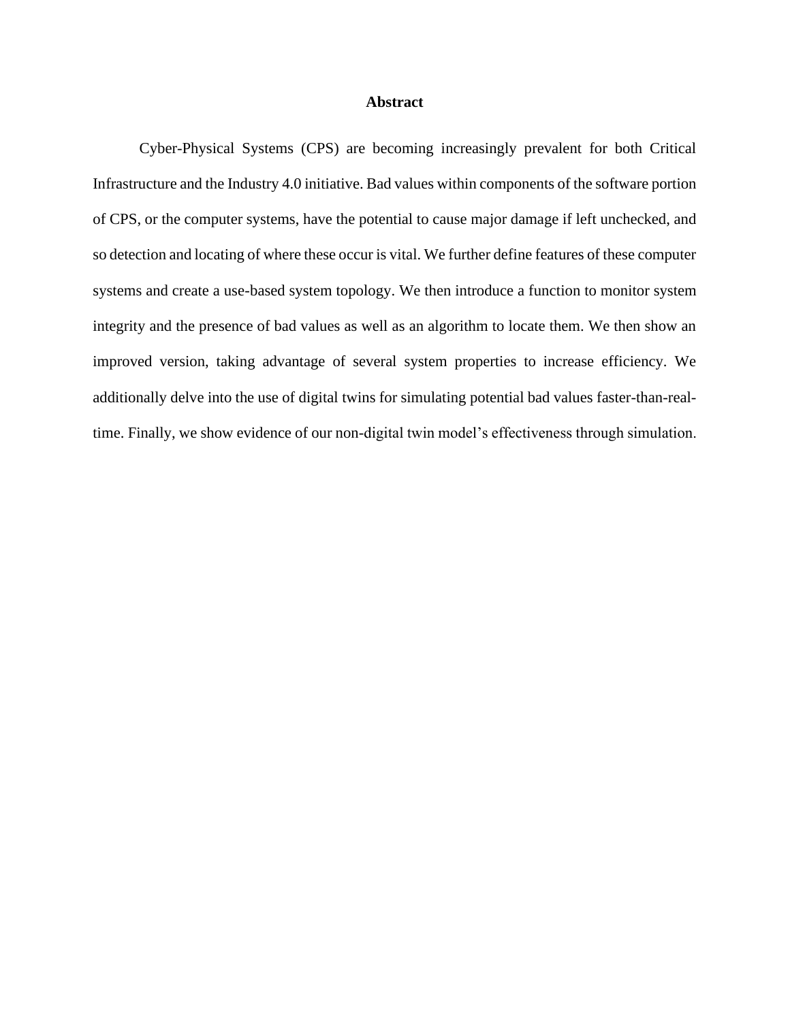#### **Abstract**

Cyber-Physical Systems (CPS) are becoming increasingly prevalent for both Critical Infrastructure and the Industry 4.0 initiative. Bad values within components of the software portion of CPS, or the computer systems, have the potential to cause major damage if left unchecked, and so detection and locating of where these occur is vital. We further define features of these computer systems and create a use-based system topology. We then introduce a function to monitor system integrity and the presence of bad values as well as an algorithm to locate them. We then show an improved version, taking advantage of several system properties to increase efficiency. We additionally delve into the use of digital twins for simulating potential bad values faster-than-realtime. Finally, we show evidence of our non-digital twin model's effectiveness through simulation.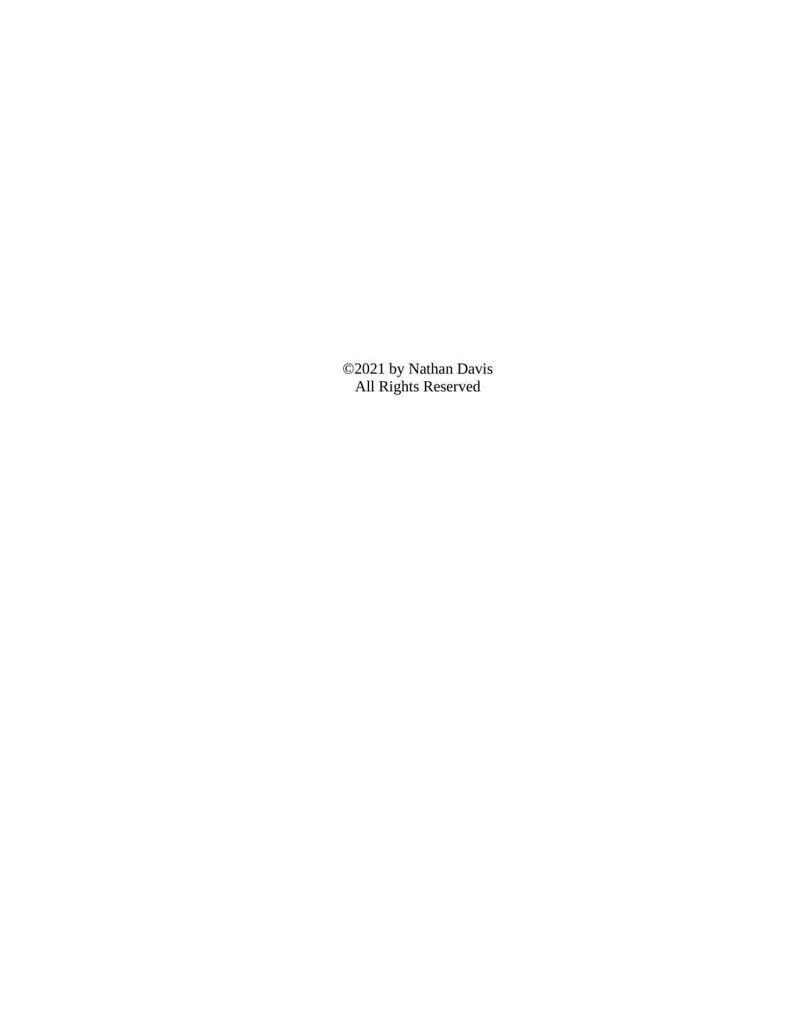©2021 by Nathan Davis All Rights Reserved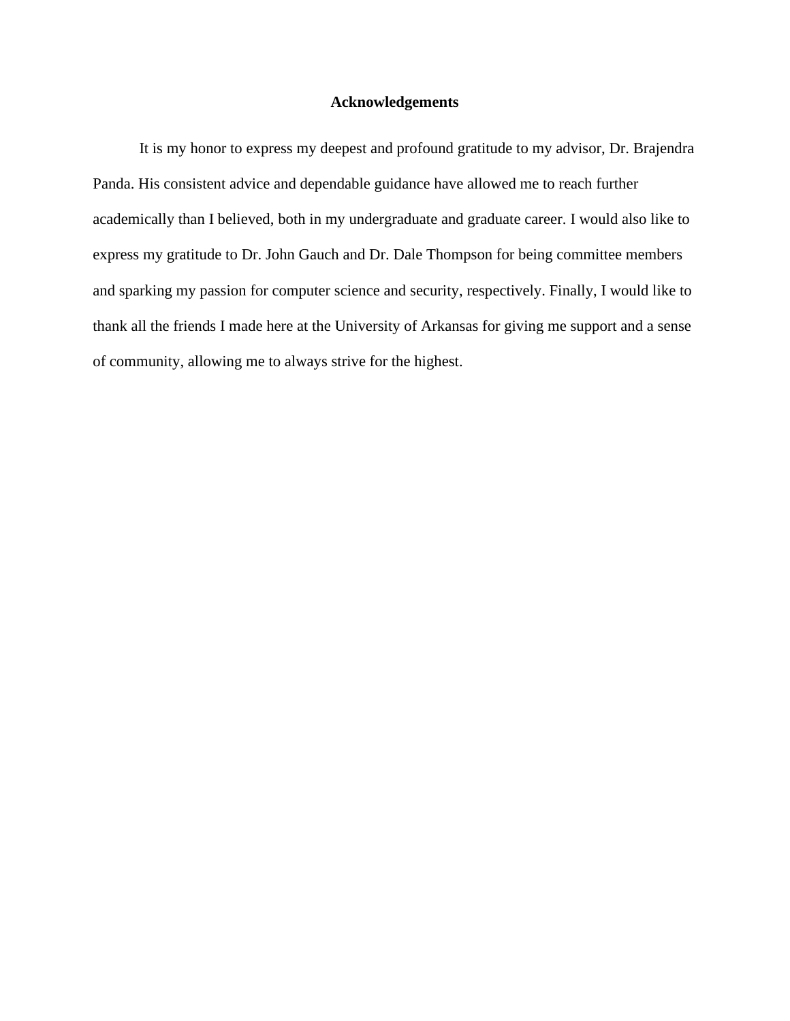#### **Acknowledgements**

It is my honor to express my deepest and profound gratitude to my advisor, Dr. Brajendra Panda. His consistent advice and dependable guidance have allowed me to reach further academically than I believed, both in my undergraduate and graduate career. I would also like to express my gratitude to Dr. John Gauch and Dr. Dale Thompson for being committee members and sparking my passion for computer science and security, respectively. Finally, I would like to thank all the friends I made here at the University of Arkansas for giving me support and a sense of community, allowing me to always strive for the highest.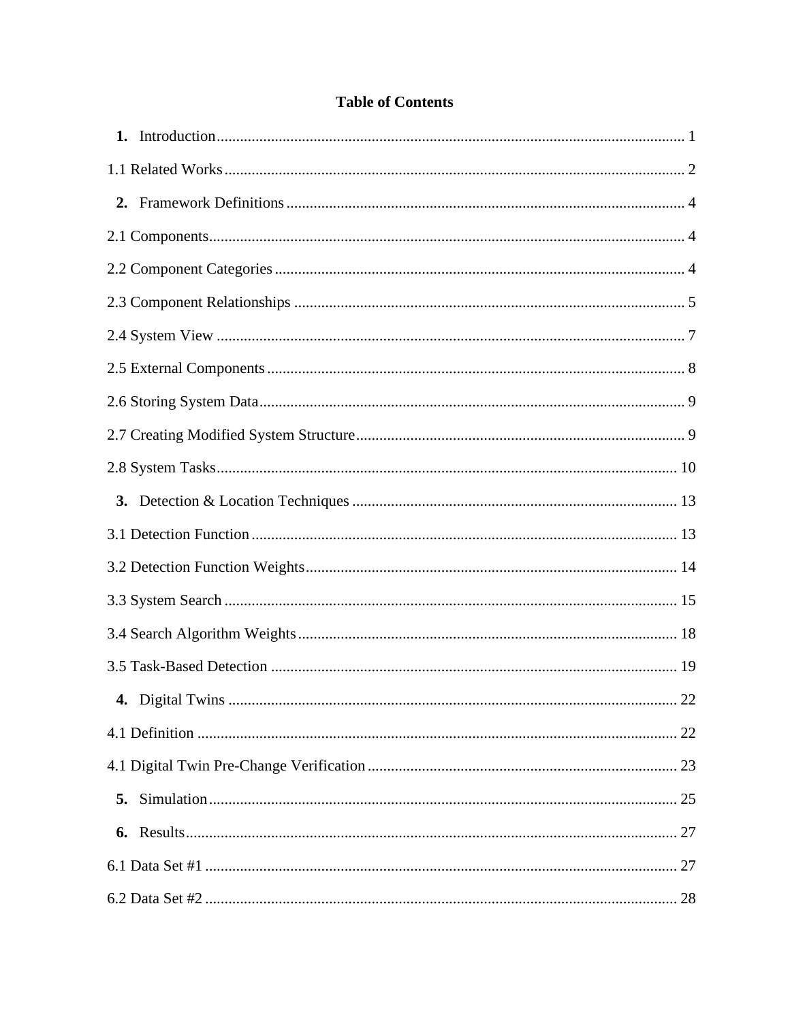|    | 22 |
|----|----|
|    |    |
| 5. |    |
| 6. |    |
|    |    |
|    |    |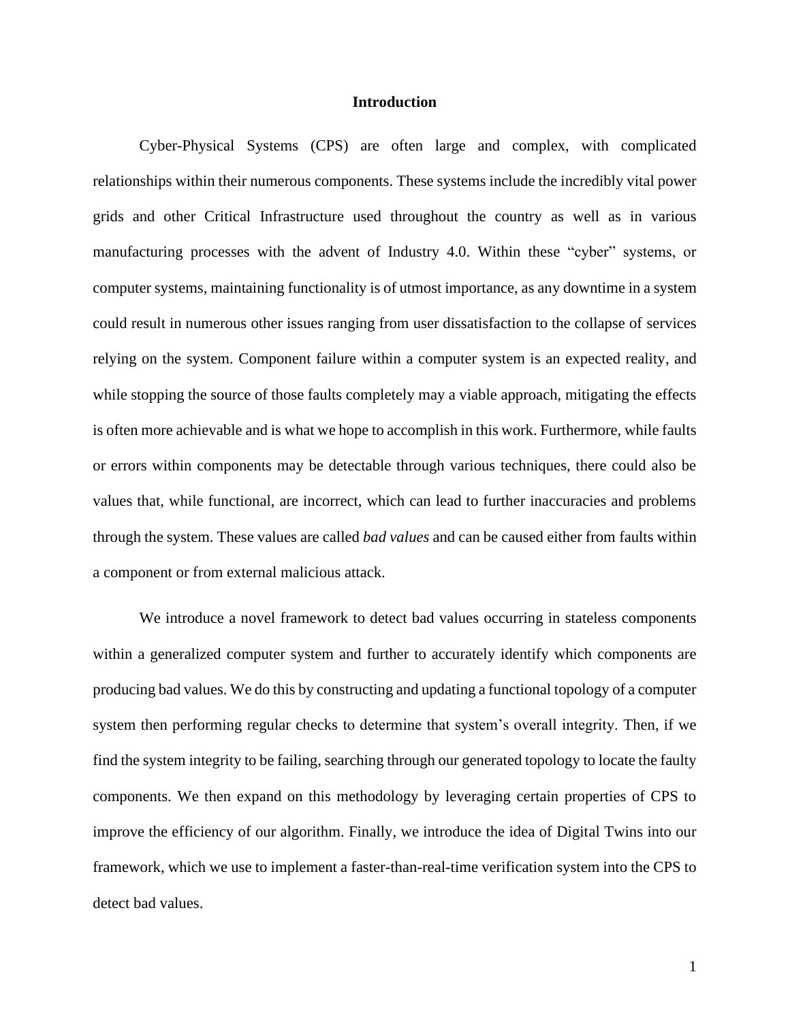#### **Introduction**

<span id="page-7-0"></span>Cyber-Physical Systems (CPS) are often large and complex, with complicated relationships within their numerous components. These systems include the incredibly vital power grids and other Critical Infrastructure used throughout the country as well as in various manufacturing processes with the advent of Industry 4.0. Within these "cyber" systems, or computer systems, maintaining functionality is of utmost importance, as any downtime in a system could result in numerous other issues ranging from user dissatisfaction to the collapse of services relying on the system. Component failure within a computer system is an expected reality, and while stopping the source of those faults completely may a viable approach, mitigating the effects is often more achievable and is what we hope to accomplish in this work. Furthermore, while faults or errors within components may be detectable through various techniques, there could also be values that, while functional, are incorrect, which can lead to further inaccuracies and problems through the system. These values are called *bad values* and can be caused either from faults within a component or from external malicious attack.

We introduce a novel framework to detect bad values occurring in stateless components within a generalized computer system and further to accurately identify which components are producing bad values. We do this by constructing and updating a functional topology of a computer system then performing regular checks to determine that system's overall integrity. Then, if we find the system integrity to be failing, searching through our generated topology to locate the faulty components. We then expand on this methodology by leveraging certain properties of CPS to improve the efficiency of our algorithm. Finally, we introduce the idea of Digital Twins into our framework, which we use to implement a faster-than-real-time verification system into the CPS to detect bad values.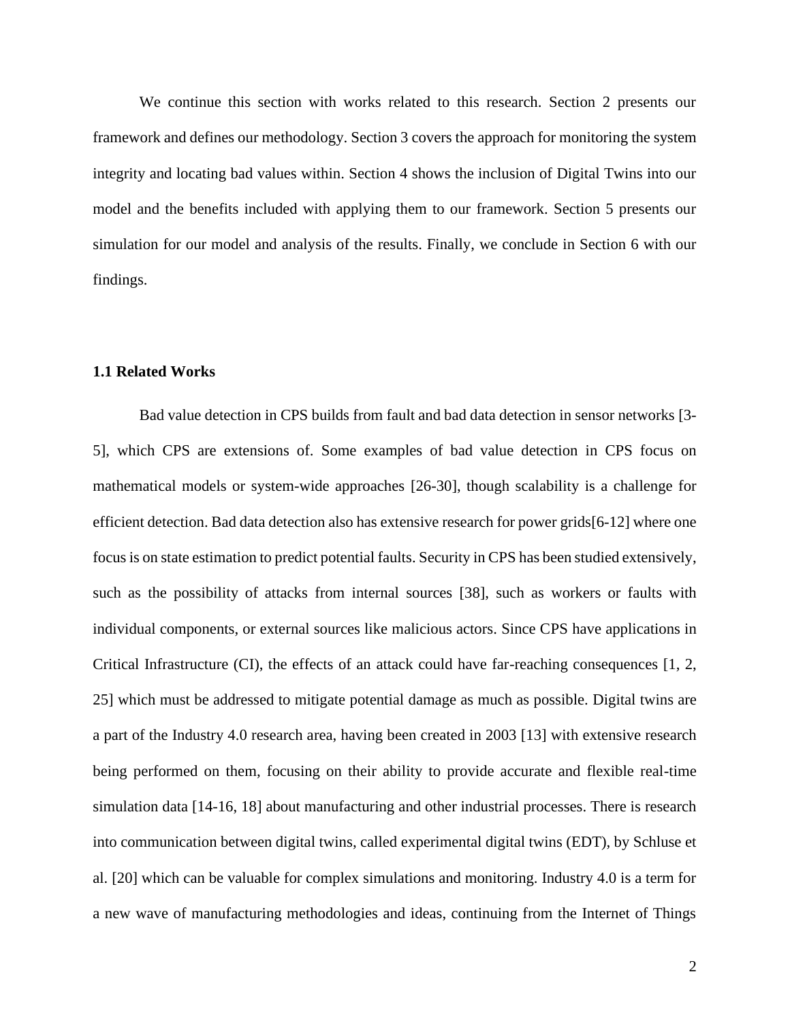We continue this section with works related to this research. Section 2 presents our framework and defines our methodology. Section 3 covers the approach for monitoring the system integrity and locating bad values within. Section 4 shows the inclusion of Digital Twins into our model and the benefits included with applying them to our framework. Section 5 presents our simulation for our model and analysis of the results. Finally, we conclude in Section 6 with our findings.

#### <span id="page-8-0"></span>**1.1 Related Works**

Bad value detection in CPS builds from fault and bad data detection in sensor networks [3- 5], which CPS are extensions of. Some examples of bad value detection in CPS focus on mathematical models or system-wide approaches [26-30], though scalability is a challenge for efficient detection. Bad data detection also has extensive research for power grids[6-12] where one focus is on state estimation to predict potential faults. Security in CPS has been studied extensively, such as the possibility of attacks from internal sources [38], such as workers or faults with individual components, or external sources like malicious actors. Since CPS have applications in Critical Infrastructure (CI), the effects of an attack could have far-reaching consequences [1, 2, 25] which must be addressed to mitigate potential damage as much as possible. Digital twins are a part of the Industry 4.0 research area, having been created in 2003 [13] with extensive research being performed on them, focusing on their ability to provide accurate and flexible real-time simulation data [14-16, 18] about manufacturing and other industrial processes. There is research into communication between digital twins, called experimental digital twins (EDT), by Schluse et al. [20] which can be valuable for complex simulations and monitoring. Industry 4.0 is a term for a new wave of manufacturing methodologies and ideas, continuing from the Internet of Things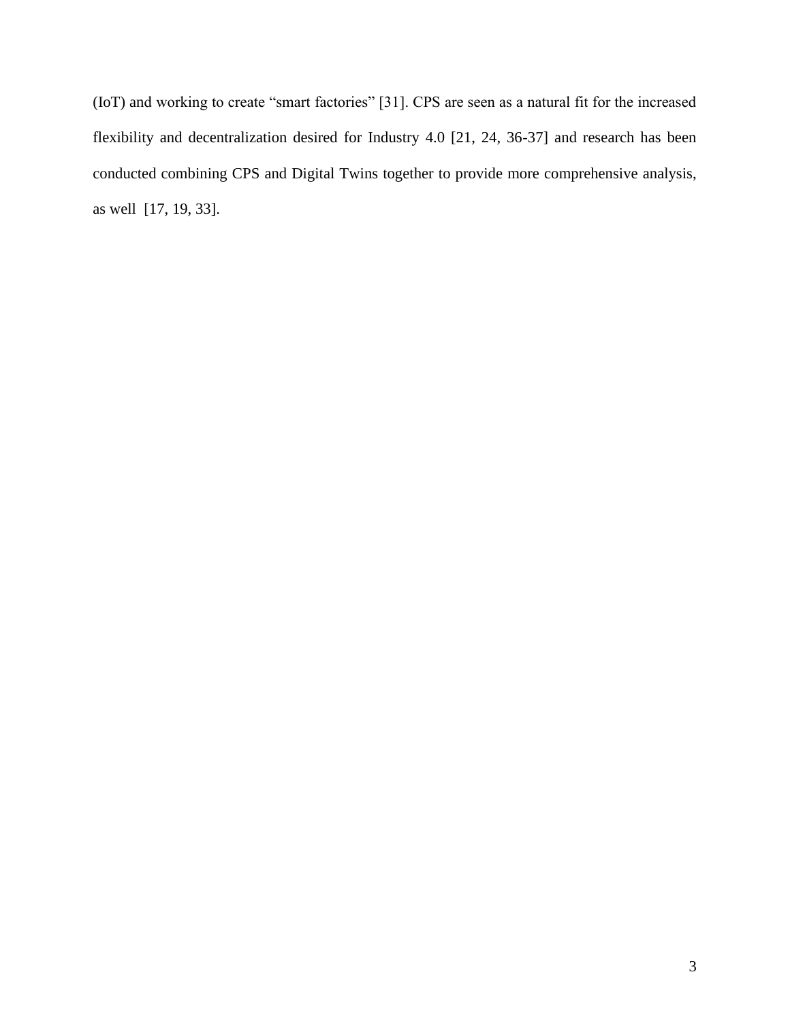(IoT) and working to create "smart factories" [31]. CPS are seen as a natural fit for the increased flexibility and decentralization desired for Industry 4.0 [21, 24, 36-37] and research has been conducted combining CPS and Digital Twins together to provide more comprehensive analysis, as well [17, 19, 33].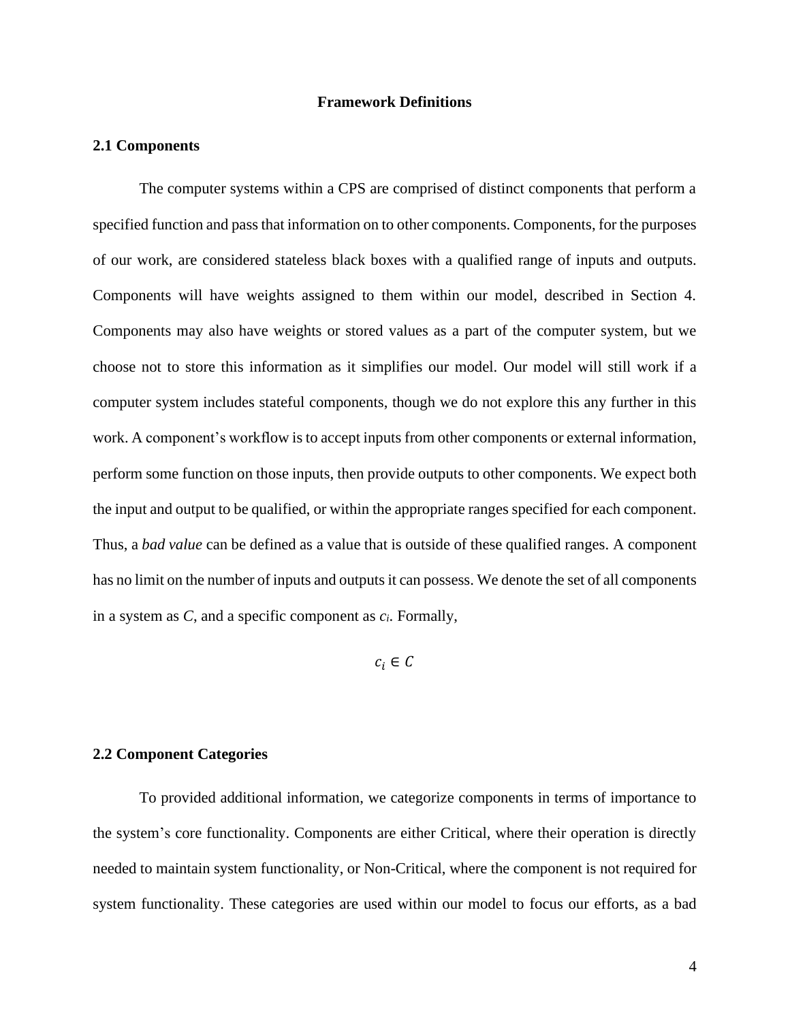#### **Framework Definitions**

#### <span id="page-10-1"></span><span id="page-10-0"></span>**2.1 Components**

The computer systems within a CPS are comprised of distinct components that perform a specified function and pass that information on to other components. Components, for the purposes of our work, are considered stateless black boxes with a qualified range of inputs and outputs. Components will have weights assigned to them within our model, described in Section 4. Components may also have weights or stored values as a part of the computer system, but we choose not to store this information as it simplifies our model. Our model will still work if a computer system includes stateful components, though we do not explore this any further in this work. A component's workflow is to accept inputs from other components or external information, perform some function on those inputs, then provide outputs to other components. We expect both the input and output to be qualified, or within the appropriate ranges specified for each component. Thus, a *bad value* can be defined as a value that is outside of these qualified ranges. A component has no limit on the number of inputs and outputs it can possess. We denote the set of all components in a system as *C*, and a specific component as *ci*. Formally,

 $c_i \in C$ 

#### <span id="page-10-2"></span>**2.2 Component Categories**

To provided additional information, we categorize components in terms of importance to the system's core functionality. Components are either Critical, where their operation is directly needed to maintain system functionality, or Non-Critical, where the component is not required for system functionality. These categories are used within our model to focus our efforts, as a bad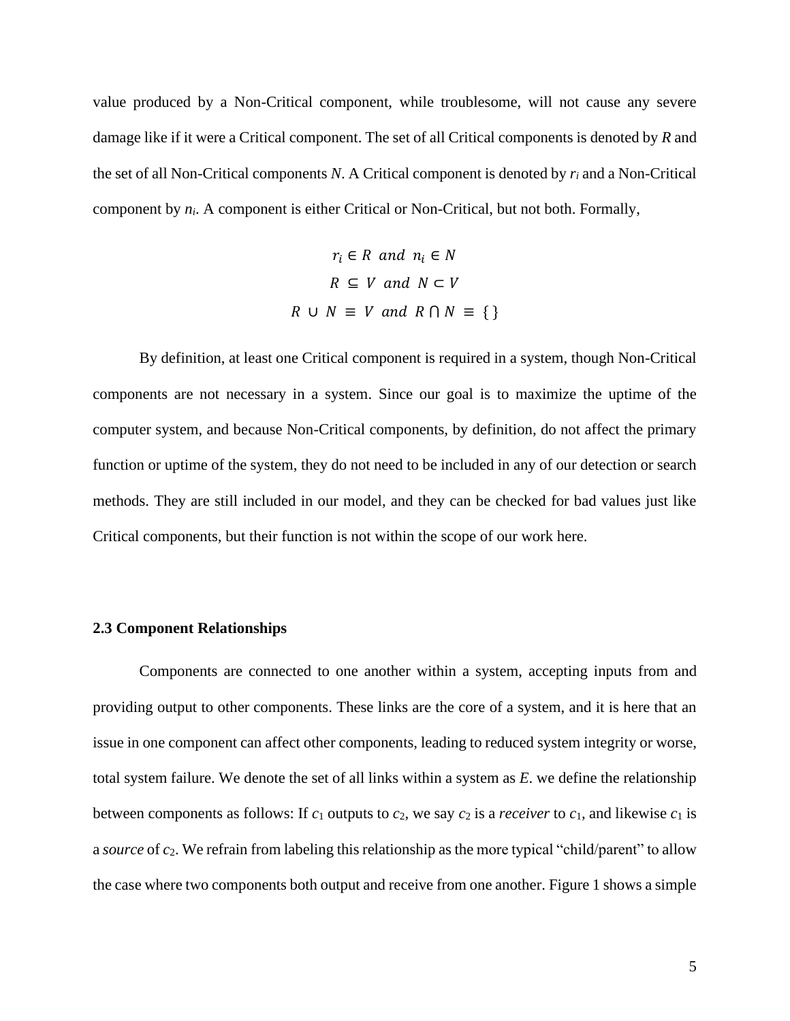value produced by a Non-Critical component, while troublesome, will not cause any severe damage like if it were a Critical component. The set of all Critical components is denoted by *R* and the set of all Non-Critical components *N*. A Critical component is denoted by *r<sup>i</sup>* and a Non-Critical component by *ni*. A component is either Critical or Non-Critical, but not both. Formally,

$$
r_i \in R \text{ and } n_i \in N
$$
  

$$
R \subseteq V \text{ and } N \subset V
$$
  

$$
R \cup N \equiv V \text{ and } R \cap N \equiv \{\}
$$

By definition, at least one Critical component is required in a system, though Non-Critical components are not necessary in a system. Since our goal is to maximize the uptime of the computer system, and because Non-Critical components, by definition, do not affect the primary function or uptime of the system, they do not need to be included in any of our detection or search methods. They are still included in our model, and they can be checked for bad values just like Critical components, but their function is not within the scope of our work here.

#### <span id="page-11-0"></span>**2.3 Component Relationships**

Components are connected to one another within a system, accepting inputs from and providing output to other components. These links are the core of a system, and it is here that an issue in one component can affect other components, leading to reduced system integrity or worse, total system failure. We denote the set of all links within a system as *E*. we define the relationship between components as follows: If  $c_1$  outputs to  $c_2$ , we say  $c_2$  is a *receiver* to  $c_1$ , and likewise  $c_1$  is a *source* of *c*2. We refrain from labeling this relationship as the more typical "child/parent" to allow the case where two components both output and receive from one another. Figure 1 shows a simple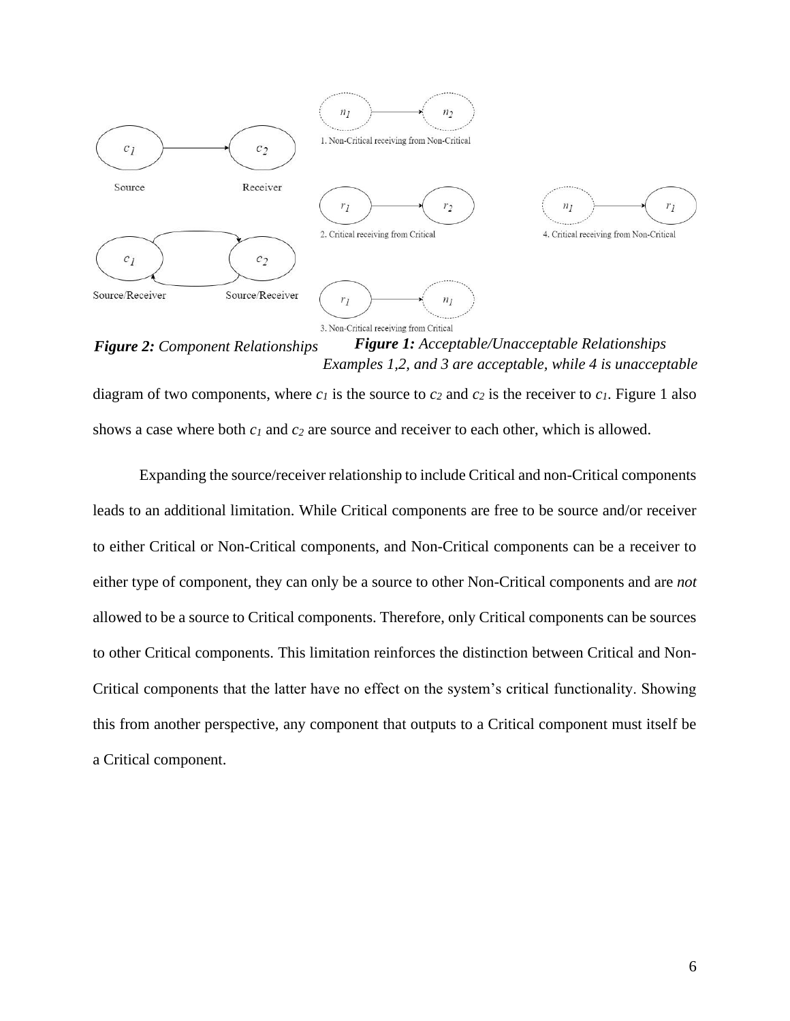

*Figure 2: Component Relationships Figure 1: Acceptable/Unacceptable Relationships Examples 1,2, and 3 are acceptable, while 4 is unacceptable*

diagram of two components, where  $c<sub>1</sub>$  is the source to  $c<sub>2</sub>$  and  $c<sub>2</sub>$  is the receiver to  $c<sub>1</sub>$ . Figure 1 also shows a case where both *c<sup>1</sup>* and *c<sup>2</sup>* are source and receiver to each other, which is allowed.

Expanding the source/receiver relationship to include Critical and non-Critical components leads to an additional limitation. While Critical components are free to be source and/or receiver to either Critical or Non-Critical components, and Non-Critical components can be a receiver to either type of component, they can only be a source to other Non-Critical components and are *not* allowed to be a source to Critical components. Therefore, only Critical components can be sources to other Critical components. This limitation reinforces the distinction between Critical and Non-Critical components that the latter have no effect on the system's critical functionality. Showing this from another perspective, any component that outputs to a Critical component must itself be a Critical component.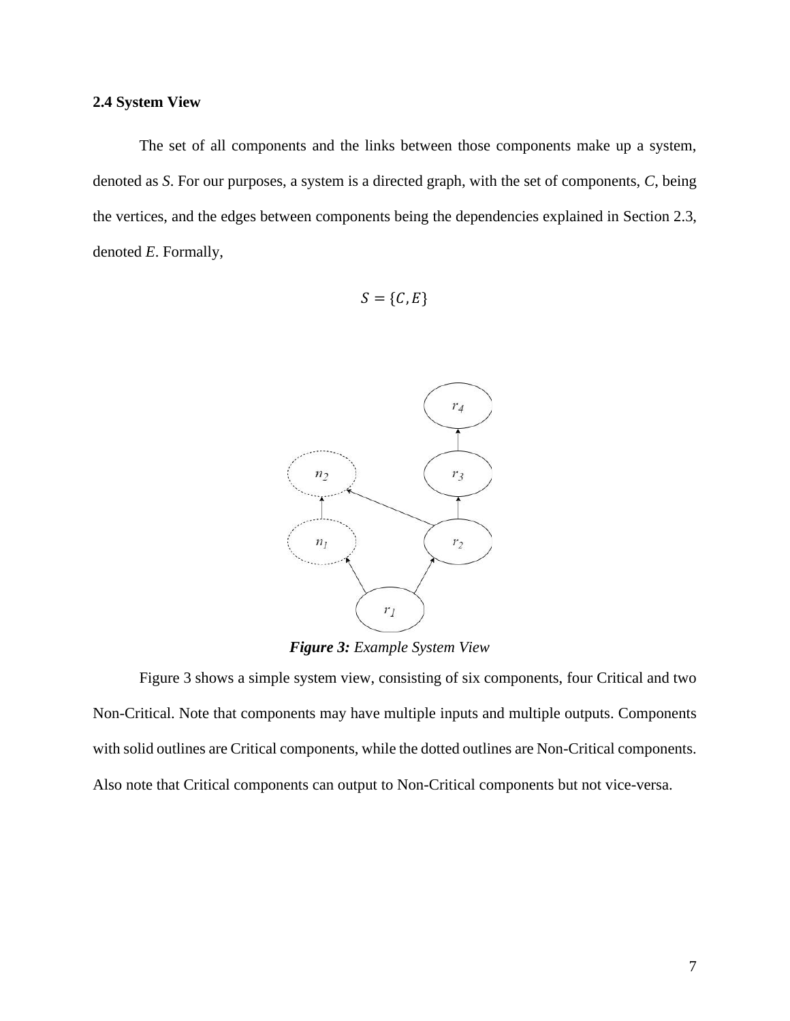### <span id="page-13-0"></span>**2.4 System View**

The set of all components and the links between those components make up a system, denoted as *S*. For our purposes, a system is a directed graph, with the set of components, *C*, being the vertices, and the edges between components being the dependencies explained in Section 2.3, denoted *E*. Formally,

$$
S = \{C, E\}
$$



*Figure 3: Example System View*

Figure 3 shows a simple system view, consisting of six components, four Critical and two Non-Critical. Note that components may have multiple inputs and multiple outputs. Components with solid outlines are Critical components, while the dotted outlines are Non-Critical components. Also note that Critical components can output to Non-Critical components but not vice-versa.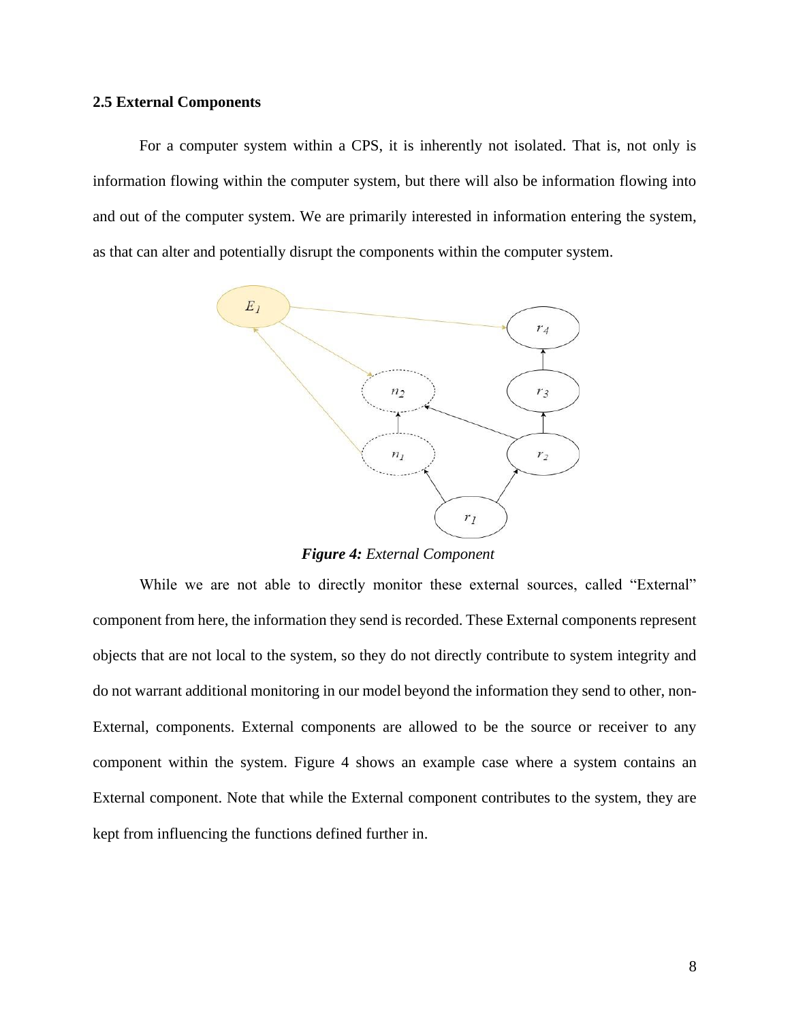#### <span id="page-14-0"></span>**2.5 External Components**

For a computer system within a CPS, it is inherently not isolated. That is, not only is information flowing within the computer system, but there will also be information flowing into and out of the computer system. We are primarily interested in information entering the system, as that can alter and potentially disrupt the components within the computer system.



*Figure 4: External Component*

While we are not able to directly monitor these external sources, called "External" component from here, the information they send is recorded. These External components represent objects that are not local to the system, so they do not directly contribute to system integrity and do not warrant additional monitoring in our model beyond the information they send to other, non-External, components. External components are allowed to be the source or receiver to any component within the system. Figure 4 shows an example case where a system contains an External component. Note that while the External component contributes to the system, they are kept from influencing the functions defined further in.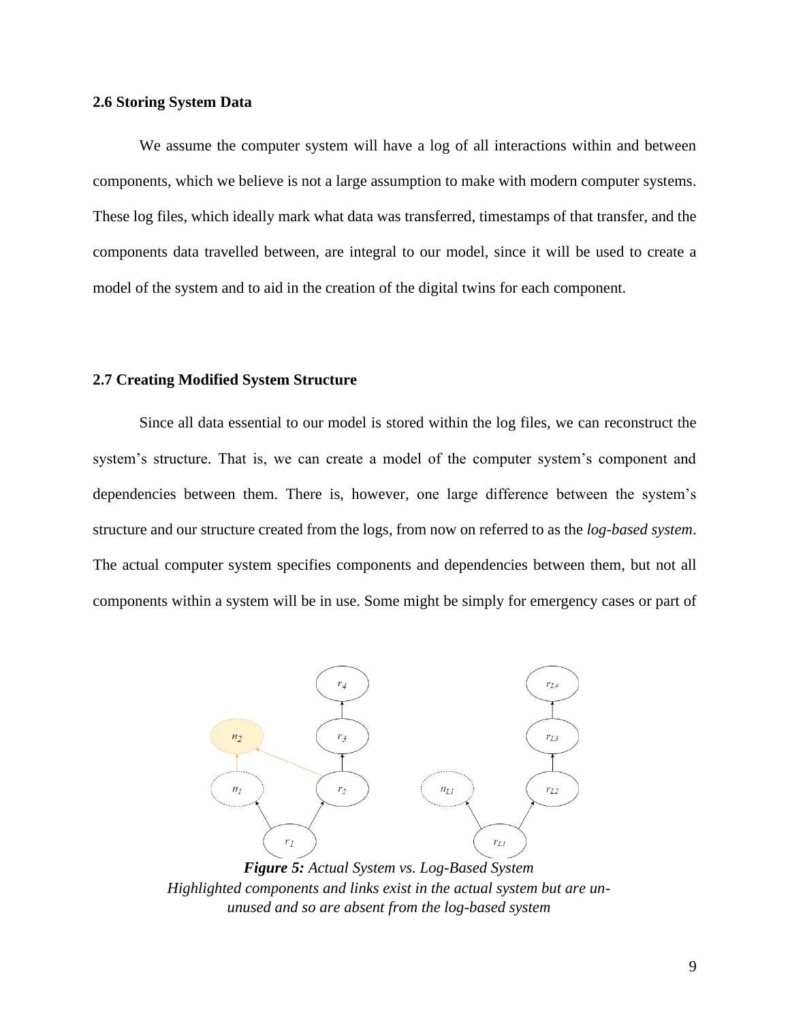#### <span id="page-15-0"></span>**2.6 Storing System Data**

We assume the computer system will have a log of all interactions within and between components, which we believe is not a large assumption to make with modern computer systems. These log files, which ideally mark what data was transferred, timestamps of that transfer, and the components data travelled between, are integral to our model, since it will be used to create a model of the system and to aid in the creation of the digital twins for each component.

#### <span id="page-15-1"></span>**2.7 Creating Modified System Structure**

Since all data essential to our model is stored within the log files, we can reconstruct the system's structure. That is, we can create a model of the computer system's component and dependencies between them. There is, however, one large difference between the system's structure and our structure created from the logs, from now on referred to as the *log-based system*. The actual computer system specifies components and dependencies between them, but not all components within a system will be in use. Some might be simply for emergency cases or part of



*Figure 5: Actual System vs. Log-Based System Highlighted components and links exist in the actual system but are ununused and so are absent from the log-based system*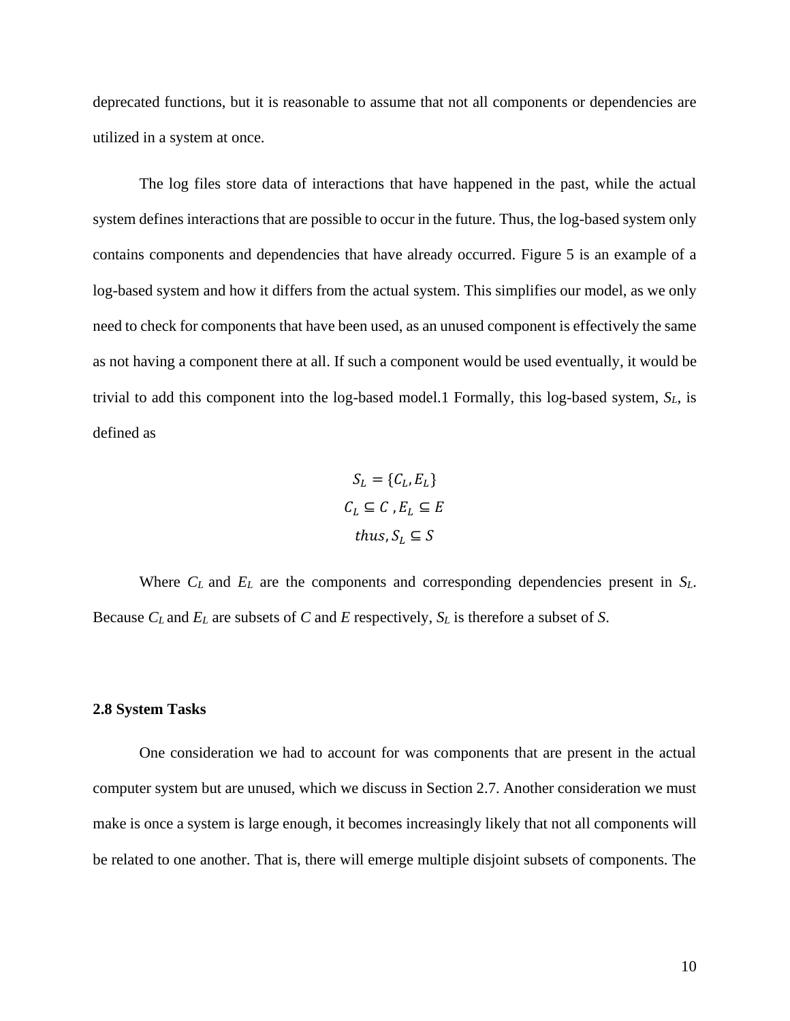deprecated functions, but it is reasonable to assume that not all components or dependencies are utilized in a system at once.

The log files store data of interactions that have happened in the past, while the actual system defines interactions that are possible to occur in the future. Thus, the log-based system only contains components and dependencies that have already occurred. Figure 5 is an example of a log-based system and how it differs from the actual system. This simplifies our model, as we only need to check for components that have been used, as an unused component is effectively the same as not having a component there at all. If such a component would be used eventually, it would be trivial to add this component into the log-based model.1 Formally, this log-based system, *SL*, is defined as

$$
S_L = \{C_L, E_L\}
$$
  

$$
C_L \subseteq C, E_L \subseteq E
$$
  
thus,  $S_L \subseteq S$ 

Where *C<sup>L</sup>* and *E<sup>L</sup>* are the components and corresponding dependencies present in *SL*. Because *C<sup>L</sup>* and *E<sup>L</sup>* are subsets of *C* and *E* respectively, *S<sup>L</sup>* is therefore a subset of *S*.

## <span id="page-16-0"></span>**2.8 System Tasks**

One consideration we had to account for was components that are present in the actual computer system but are unused, which we discuss in Section 2.7. Another consideration we must make is once a system is large enough, it becomes increasingly likely that not all components will be related to one another. That is, there will emerge multiple disjoint subsets of components. The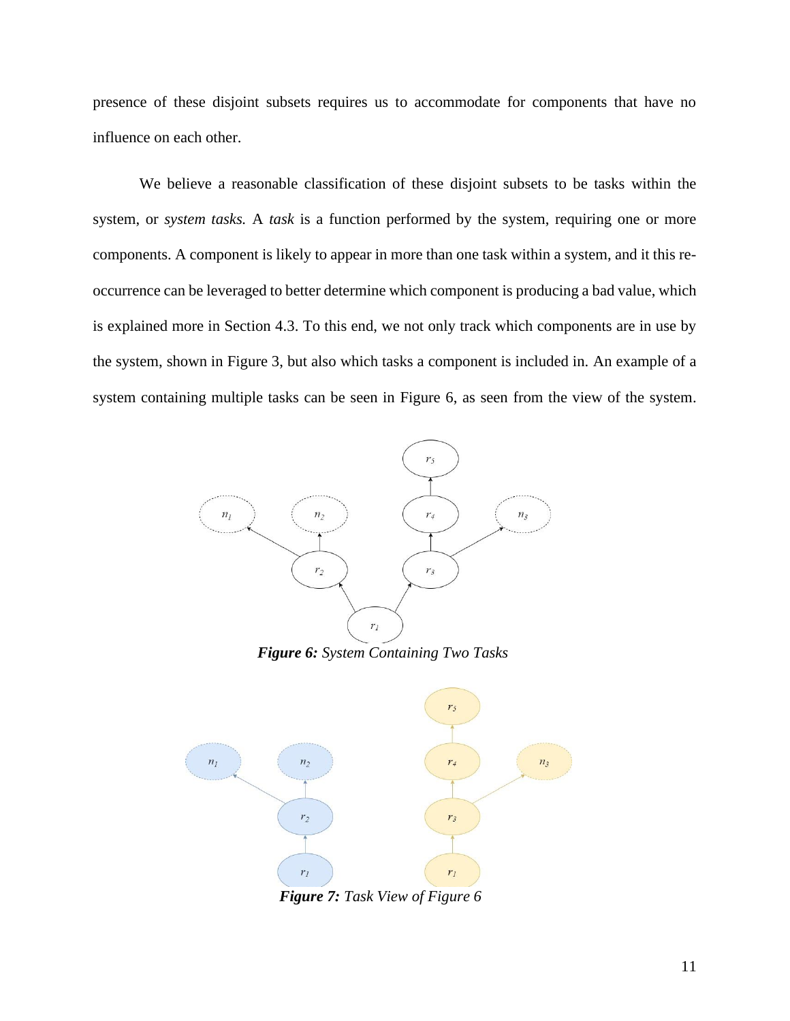presence of these disjoint subsets requires us to accommodate for components that have no influence on each other.

We believe a reasonable classification of these disjoint subsets to be tasks within the system, or *system tasks.* A *task* is a function performed by the system, requiring one or more components. A component is likely to appear in more than one task within a system, and it this reoccurrence can be leveraged to better determine which component is producing a bad value, which is explained more in Section 4.3. To this end, we not only track which components are in use by the system, shown in Figure 3, but also which tasks a component is included in. An example of a system containing multiple tasks can be seen in Figure 6, as seen from the view of the system.



*Figure 6: System Containing Two Tasks*



*Figure 7: Task View of Figure 6*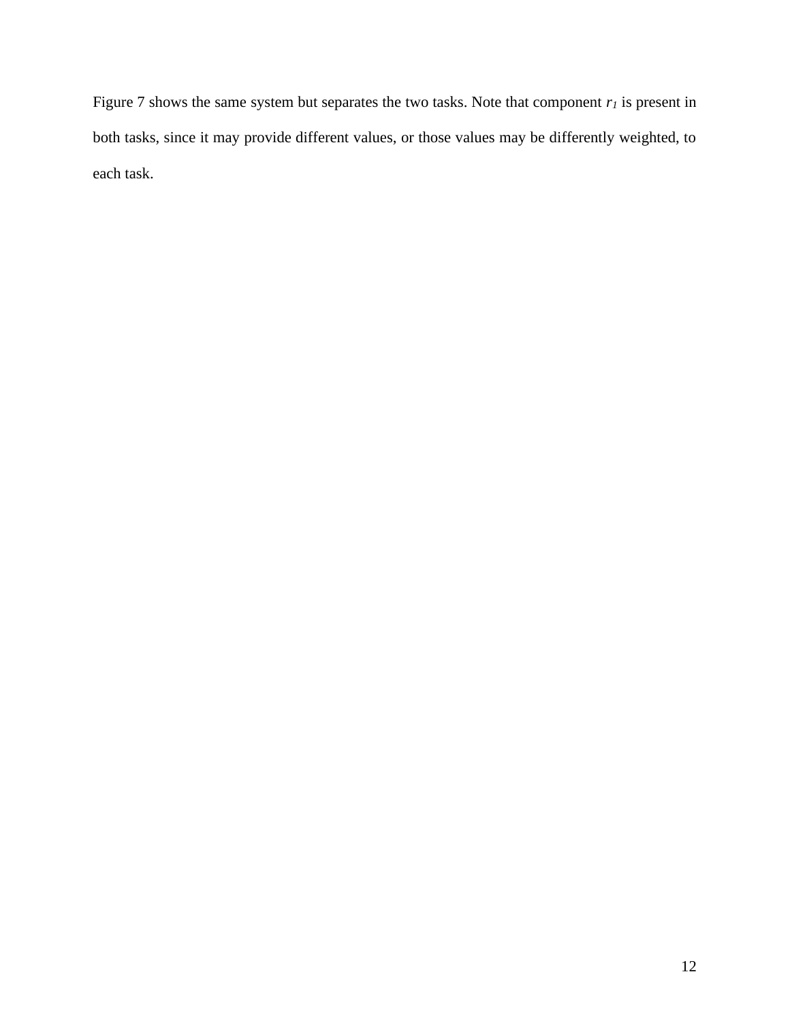Figure 7 shows the same system but separates the two tasks. Note that component *r<sup>1</sup>* is present in both tasks, since it may provide different values, or those values may be differently weighted, to each task.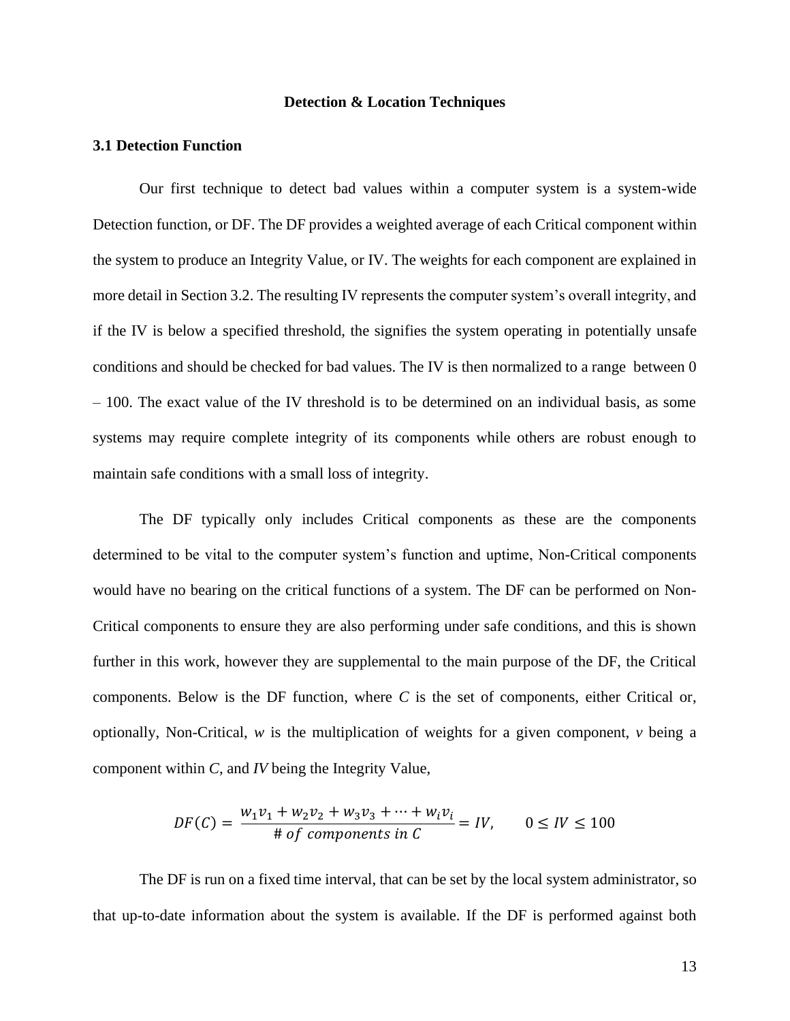#### **Detection & Location Techniques**

#### <span id="page-19-1"></span><span id="page-19-0"></span>**3.1 Detection Function**

Our first technique to detect bad values within a computer system is a system-wide Detection function, or DF. The DF provides a weighted average of each Critical component within the system to produce an Integrity Value, or IV. The weights for each component are explained in more detail in Section 3.2. The resulting IV represents the computer system's overall integrity, and if the IV is below a specified threshold, the signifies the system operating in potentially unsafe conditions and should be checked for bad values. The IV is then normalized to a range between 0 – 100. The exact value of the IV threshold is to be determined on an individual basis, as some systems may require complete integrity of its components while others are robust enough to maintain safe conditions with a small loss of integrity.

The DF typically only includes Critical components as these are the components determined to be vital to the computer system's function and uptime, Non-Critical components would have no bearing on the critical functions of a system. The DF can be performed on Non-Critical components to ensure they are also performing under safe conditions, and this is shown further in this work, however they are supplemental to the main purpose of the DF, the Critical components. Below is the DF function, where *C* is the set of components, either Critical or, optionally, Non-Critical, *w* is the multiplication of weights for a given component, *v* being a component within *C*, and *IV* being the Integrity Value,

$$
DF(C) = \frac{w_1 v_1 + w_2 v_2 + w_3 v_3 + \dots + w_i v_i}{\# \text{ of components in } C} = IV, \qquad 0 \leq IV \leq 100
$$

The DF is run on a fixed time interval, that can be set by the local system administrator, so that up-to-date information about the system is available. If the DF is performed against both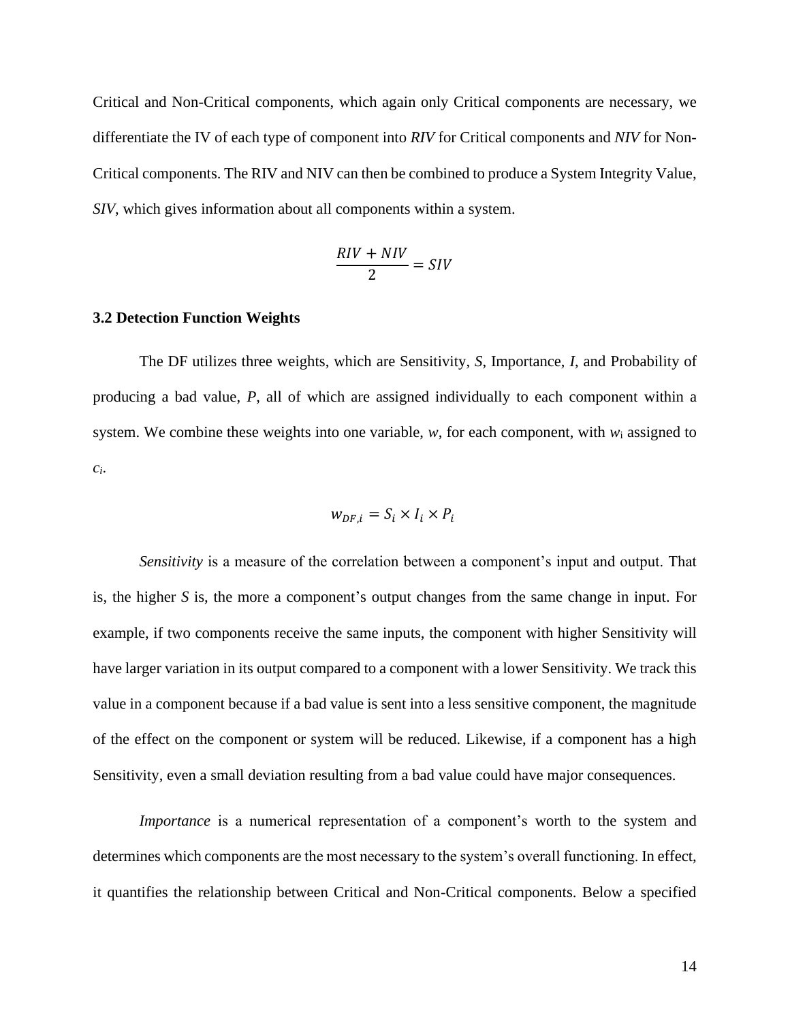Critical and Non-Critical components, which again only Critical components are necessary, we differentiate the IV of each type of component into *RIV* for Critical components and *NIV* for Non-Critical components. The RIV and NIV can then be combined to produce a System Integrity Value, *SIV*, which gives information about all components within a system.

$$
\frac{RIV + NIV}{2} = SIV
$$

#### <span id="page-20-0"></span>**3.2 Detection Function Weights**

The DF utilizes three weights, which are Sensitivity, *S*, Importance, *I*, and Probability of producing a bad value, *P*, all of which are assigned individually to each component within a system. We combine these weights into one variable, *w*, for each component, with *w*<sup>i</sup> assigned to *ci*.

$$
w_{DF,i} = S_i \times I_i \times P_i
$$

*Sensitivity* is a measure of the correlation between a component's input and output. That is, the higher *S* is, the more a component's output changes from the same change in input. For example, if two components receive the same inputs, the component with higher Sensitivity will have larger variation in its output compared to a component with a lower Sensitivity. We track this value in a component because if a bad value is sent into a less sensitive component, the magnitude of the effect on the component or system will be reduced. Likewise, if a component has a high Sensitivity, even a small deviation resulting from a bad value could have major consequences.

*Importance* is a numerical representation of a component's worth to the system and determines which components are the most necessary to the system's overall functioning. In effect, it quantifies the relationship between Critical and Non-Critical components. Below a specified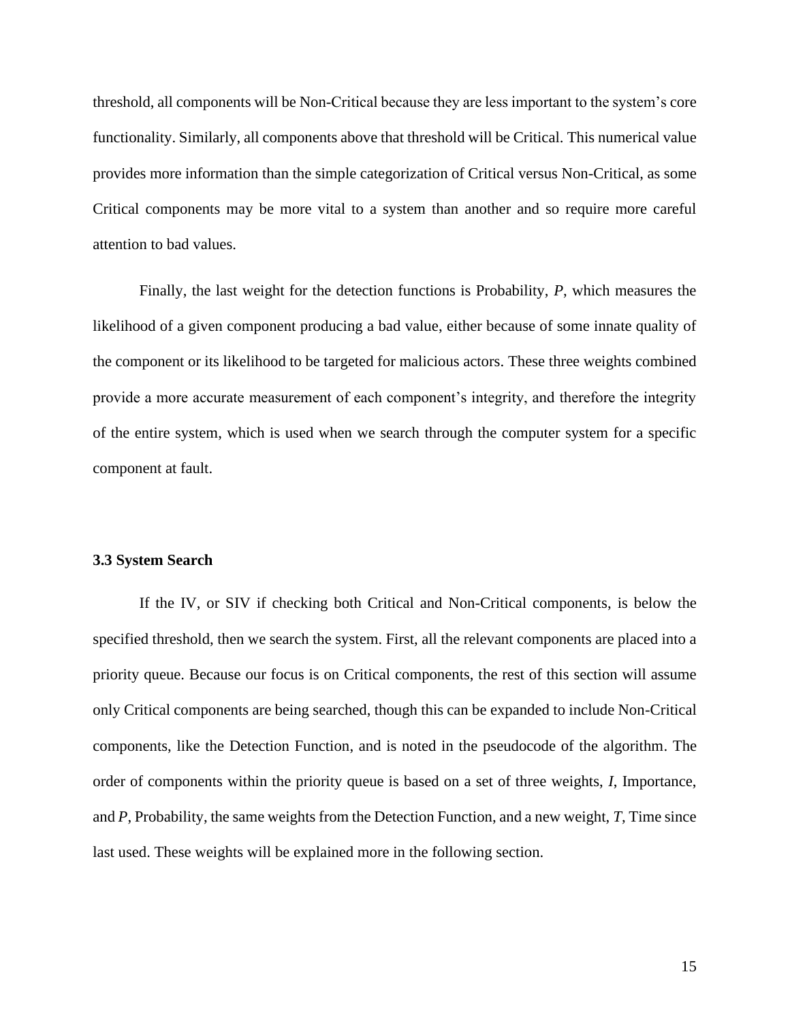threshold, all components will be Non-Critical because they are less important to the system's core functionality. Similarly, all components above that threshold will be Critical. This numerical value provides more information than the simple categorization of Critical versus Non-Critical, as some Critical components may be more vital to a system than another and so require more careful attention to bad values.

Finally, the last weight for the detection functions is Probability, *P*, which measures the likelihood of a given component producing a bad value, either because of some innate quality of the component or its likelihood to be targeted for malicious actors. These three weights combined provide a more accurate measurement of each component's integrity, and therefore the integrity of the entire system, which is used when we search through the computer system for a specific component at fault.

#### <span id="page-21-0"></span>**3.3 System Search**

If the IV, or SIV if checking both Critical and Non-Critical components, is below the specified threshold, then we search the system. First, all the relevant components are placed into a priority queue. Because our focus is on Critical components, the rest of this section will assume only Critical components are being searched, though this can be expanded to include Non-Critical components, like the Detection Function, and is noted in the pseudocode of the algorithm. The order of components within the priority queue is based on a set of three weights, *I*, Importance, and *P*, Probability, the same weights from the Detection Function, and a new weight, *T*, Time since last used. These weights will be explained more in the following section.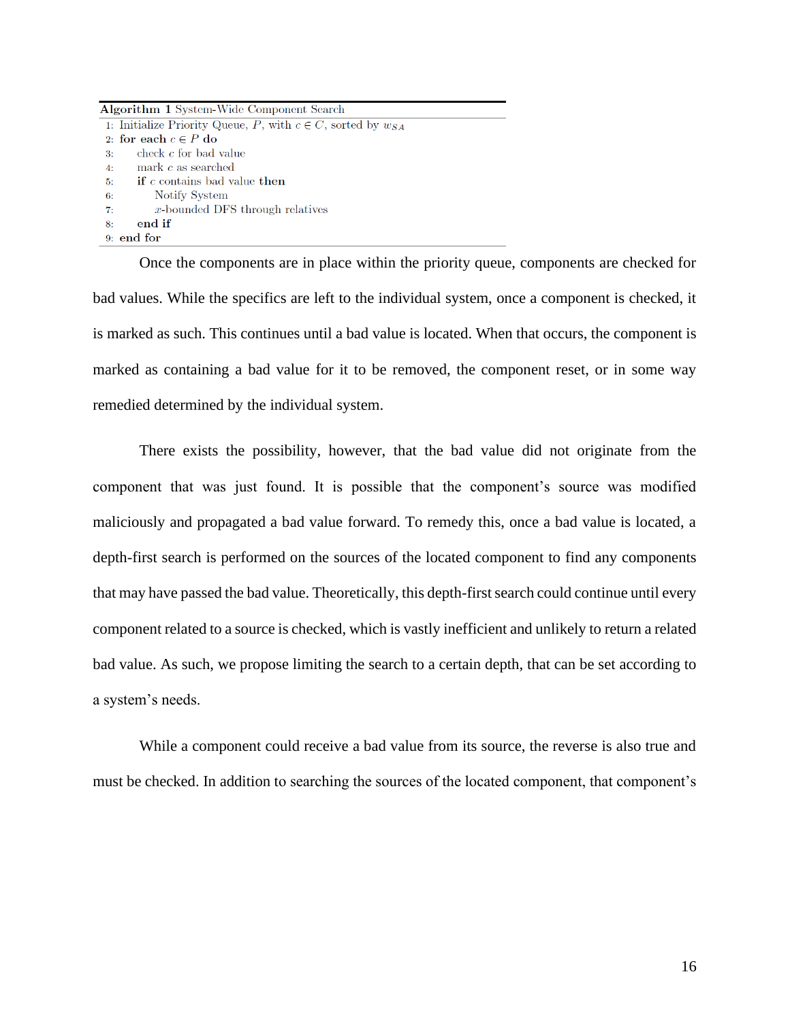Algorithm 1 System-Wide Component Search 1: Initialize Priority Queue, P, with  $c \in C$ , sorted by  $w_{SA}$ 2: for each  $c \in P$  do  $3<sup>1</sup>$ check  $c$  for bad value mark  $c$  as searched  $4:$ if  $c$  contains bad value then  $5:$ Notify System  $6:$  $x$ -bounded DFS through relatives  $7:$ end if  $8:$ 9: end for

Once the components are in place within the priority queue, components are checked for bad values. While the specifics are left to the individual system, once a component is checked, it is marked as such. This continues until a bad value is located. When that occurs, the component is marked as containing a bad value for it to be removed, the component reset, or in some way remedied determined by the individual system.

There exists the possibility, however, that the bad value did not originate from the component that was just found. It is possible that the component's source was modified maliciously and propagated a bad value forward. To remedy this, once a bad value is located, a depth-first search is performed on the sources of the located component to find any components that may have passed the bad value. Theoretically, this depth-first search could continue until every component related to a source is checked, which is vastly inefficient and unlikely to return a related bad value. As such, we propose limiting the search to a certain depth, that can be set according to a system's needs.

While a component could receive a bad value from its source, the reverse is also true and must be checked. In addition to searching the sources of the located component, that component's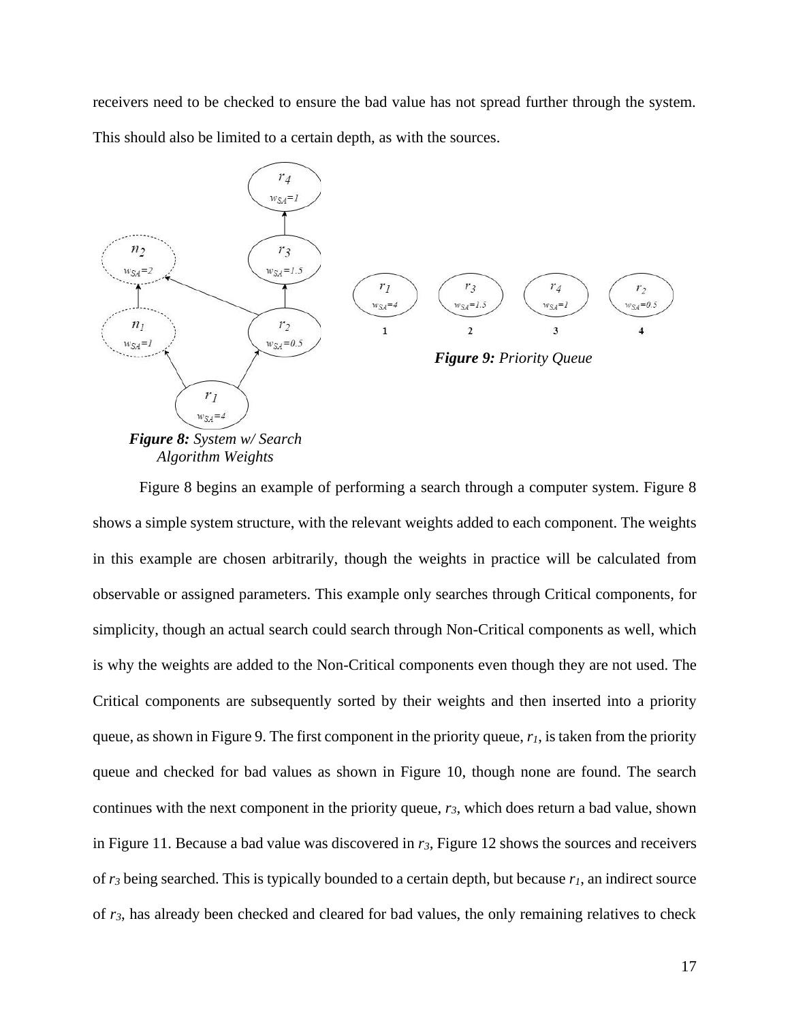receivers need to be checked to ensure the bad value has not spread further through the system. This should also be limited to a certain depth, as with the sources.



*Algorithm Weights*

Figure 8 begins an example of performing a search through a computer system. Figure 8 shows a simple system structure, with the relevant weights added to each component. The weights in this example are chosen arbitrarily, though the weights in practice will be calculated from observable or assigned parameters. This example only searches through Critical components, for simplicity, though an actual search could search through Non-Critical components as well, which is why the weights are added to the Non-Critical components even though they are not used. The Critical components are subsequently sorted by their weights and then inserted into a priority queue, as shown in Figure 9. The first component in the priority queue, *r1*, is taken from the priority queue and checked for bad values as shown in Figure 10, though none are found. The search continues with the next component in the priority queue, *r3*, which does return a bad value, shown in Figure 11. Because a bad value was discovered in *r3*, Figure 12 shows the sources and receivers of *r<sup>3</sup>* being searched. This is typically bounded to a certain depth, but because *r1*, an indirect source of *r3*, has already been checked and cleared for bad values, the only remaining relatives to check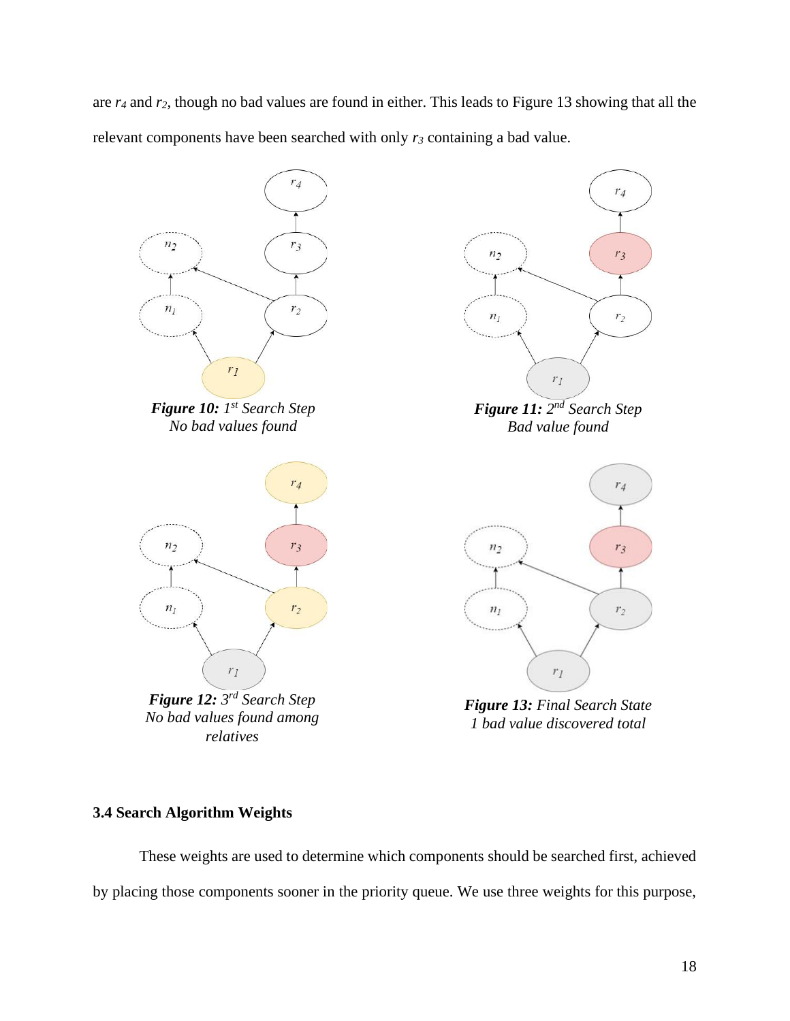are *r<sup>4</sup>* and *r2*, though no bad values are found in either. This leads to Figure 13 showing that all the relevant components have been searched with only *r<sup>3</sup>* containing a bad value.



### <span id="page-24-0"></span>**3.4 Search Algorithm Weights**

These weights are used to determine which components should be searched first, achieved by placing those components sooner in the priority queue. We use three weights for this purpose,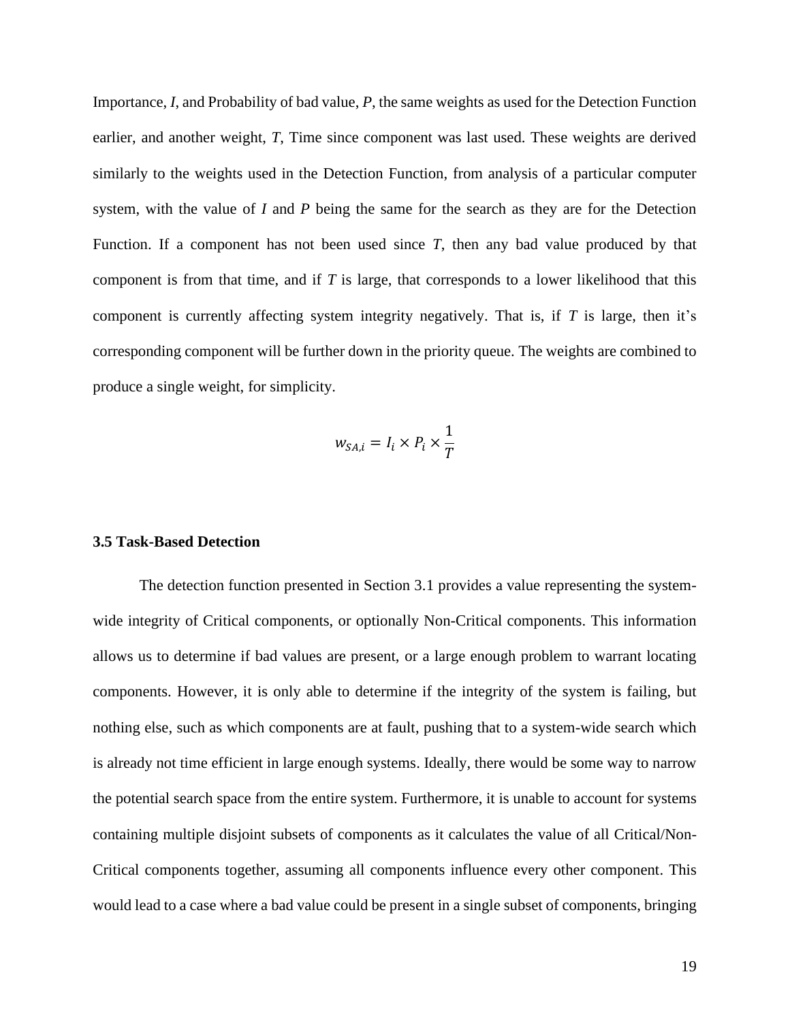Importance, *I*, and Probability of bad value, *P*, the same weights as used for the Detection Function earlier, and another weight, *T*, Time since component was last used. These weights are derived similarly to the weights used in the Detection Function, from analysis of a particular computer system, with the value of *I* and *P* being the same for the search as they are for the Detection Function. If a component has not been used since *T*, then any bad value produced by that component is from that time, and if *T* is large, that corresponds to a lower likelihood that this component is currently affecting system integrity negatively. That is, if *T* is large, then it's corresponding component will be further down in the priority queue. The weights are combined to produce a single weight, for simplicity.

$$
w_{SA,i} = I_i \times P_i \times \frac{1}{T}
$$

#### <span id="page-25-0"></span>**3.5 Task-Based Detection**

The detection function presented in Section 3.1 provides a value representing the systemwide integrity of Critical components, or optionally Non-Critical components. This information allows us to determine if bad values are present, or a large enough problem to warrant locating components. However, it is only able to determine if the integrity of the system is failing, but nothing else, such as which components are at fault, pushing that to a system-wide search which is already not time efficient in large enough systems. Ideally, there would be some way to narrow the potential search space from the entire system. Furthermore, it is unable to account for systems containing multiple disjoint subsets of components as it calculates the value of all Critical/Non-Critical components together, assuming all components influence every other component. This would lead to a case where a bad value could be present in a single subset of components, bringing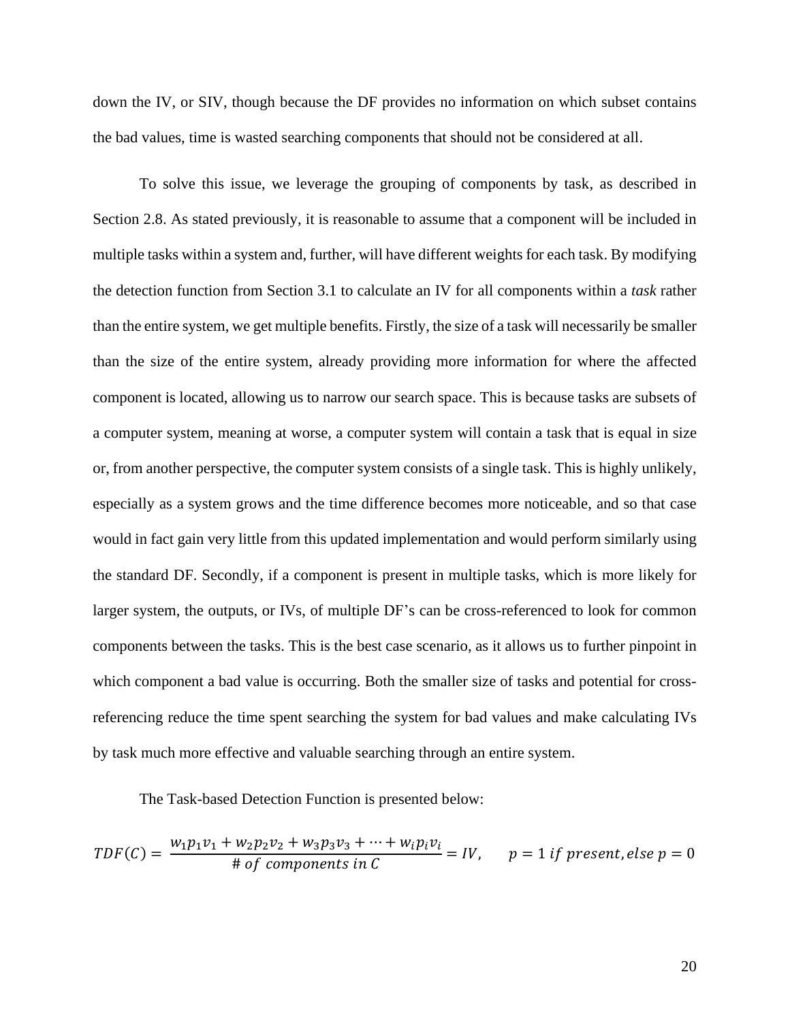down the IV, or SIV, though because the DF provides no information on which subset contains the bad values, time is wasted searching components that should not be considered at all.

To solve this issue, we leverage the grouping of components by task, as described in Section 2.8. As stated previously, it is reasonable to assume that a component will be included in multiple tasks within a system and, further, will have different weights for each task. By modifying the detection function from Section 3.1 to calculate an IV for all components within a *task* rather than the entire system, we get multiple benefits. Firstly, the size of a task will necessarily be smaller than the size of the entire system, already providing more information for where the affected component is located, allowing us to narrow our search space. This is because tasks are subsets of a computer system, meaning at worse, a computer system will contain a task that is equal in size or, from another perspective, the computer system consists of a single task. This is highly unlikely, especially as a system grows and the time difference becomes more noticeable, and so that case would in fact gain very little from this updated implementation and would perform similarly using the standard DF. Secondly, if a component is present in multiple tasks, which is more likely for larger system, the outputs, or IVs, of multiple DF's can be cross-referenced to look for common components between the tasks. This is the best case scenario, as it allows us to further pinpoint in which component a bad value is occurring. Both the smaller size of tasks and potential for crossreferencing reduce the time spent searching the system for bad values and make calculating IVs by task much more effective and valuable searching through an entire system.

The Task-based Detection Function is presented below:

$$
TDF(C) = \frac{w_1 p_1 v_1 + w_2 p_2 v_2 + w_3 p_3 v_3 + \dots + w_i p_i v_i}{\# of components in C} = IV, \qquad p = 1 \text{ if present, else } p = 0
$$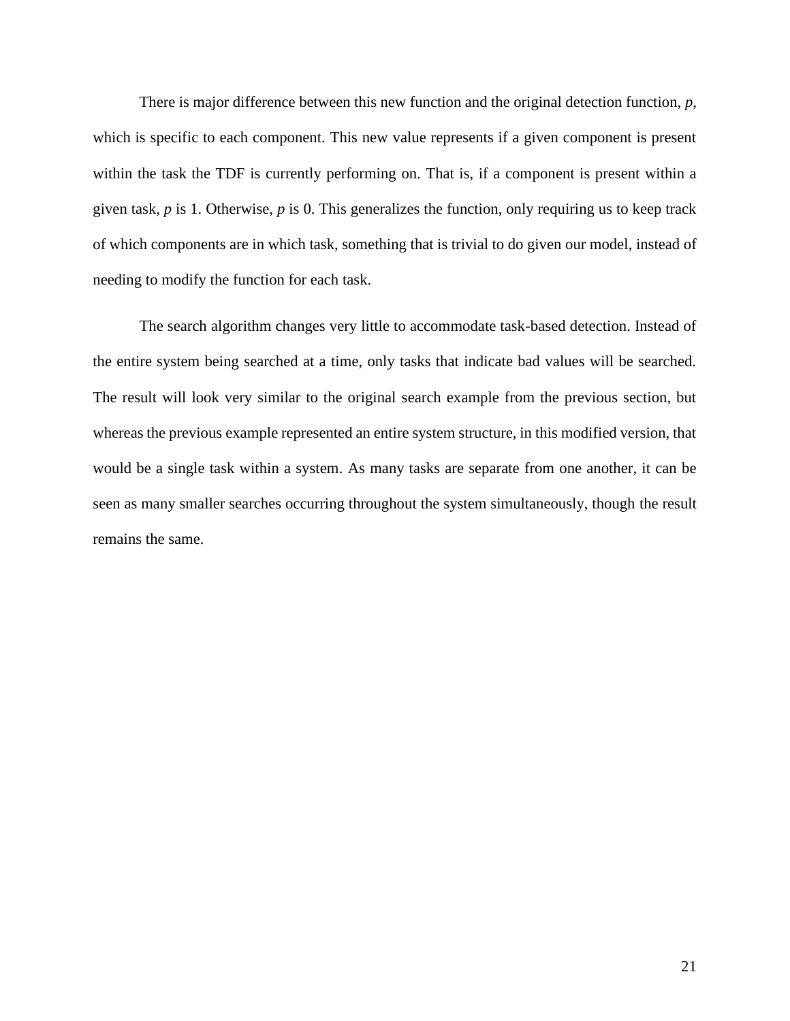There is major difference between this new function and the original detection function, *p*, which is specific to each component. This new value represents if a given component is present within the task the TDF is currently performing on. That is, if a component is present within a given task, *p* is 1. Otherwise, *p* is 0. This generalizes the function, only requiring us to keep track of which components are in which task, something that is trivial to do given our model, instead of needing to modify the function for each task.

The search algorithm changes very little to accommodate task-based detection. Instead of the entire system being searched at a time, only tasks that indicate bad values will be searched. The result will look very similar to the original search example from the previous section, but whereas the previous example represented an entire system structure, in this modified version, that would be a single task within a system. As many tasks are separate from one another, it can be seen as many smaller searches occurring throughout the system simultaneously, though the result remains the same.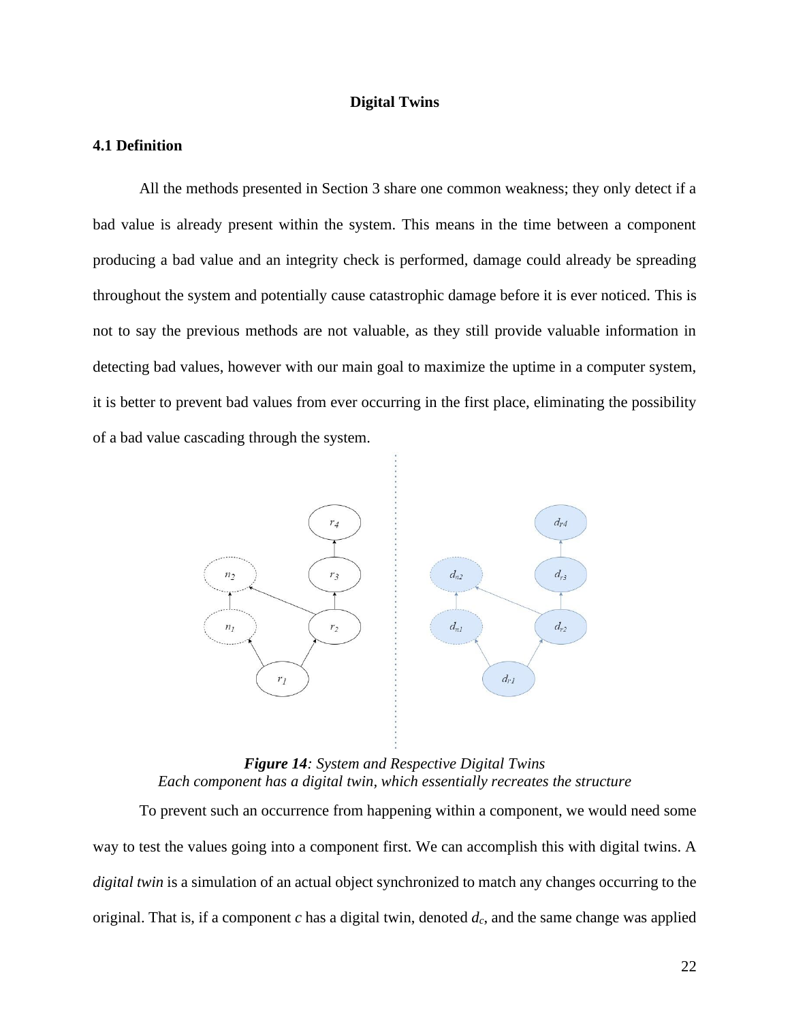#### **Digital Twins**

## <span id="page-28-1"></span><span id="page-28-0"></span>**4.1 Definition**

All the methods presented in Section 3 share one common weakness; they only detect if a bad value is already present within the system. This means in the time between a component producing a bad value and an integrity check is performed, damage could already be spreading throughout the system and potentially cause catastrophic damage before it is ever noticed. This is not to say the previous methods are not valuable, as they still provide valuable information in detecting bad values, however with our main goal to maximize the uptime in a computer system, it is better to prevent bad values from ever occurring in the first place, eliminating the possibility of a bad value cascading through the system.



*Figure 14: System and Respective Digital Twins Each component has a digital twin, which essentially recreates the structure*

To prevent such an occurrence from happening within a component, we would need some way to test the values going into a component first. We can accomplish this with digital twins. A *digital twin* is a simulation of an actual object synchronized to match any changes occurring to the original. That is, if a component *c* has a digital twin, denoted *dc*, and the same change was applied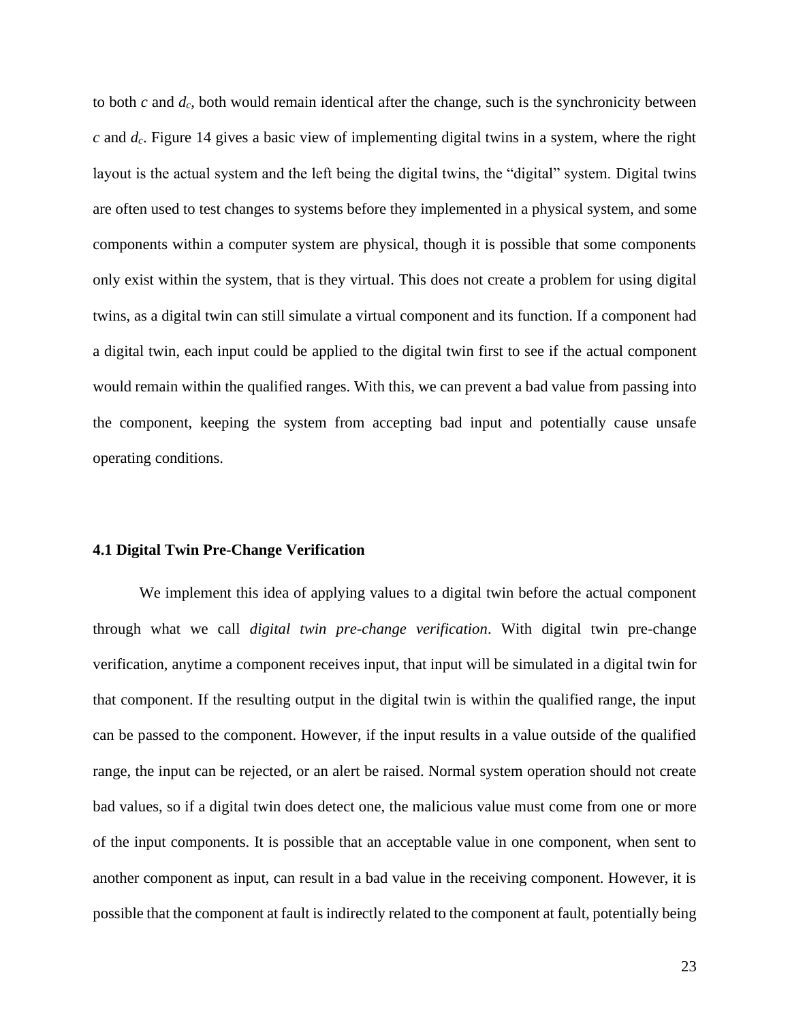to both *c* and *dc*, both would remain identical after the change, such is the synchronicity between *c* and *dc*. Figure 14 gives a basic view of implementing digital twins in a system, where the right layout is the actual system and the left being the digital twins, the "digital" system. Digital twins are often used to test changes to systems before they implemented in a physical system, and some components within a computer system are physical, though it is possible that some components only exist within the system, that is they virtual. This does not create a problem for using digital twins, as a digital twin can still simulate a virtual component and its function. If a component had a digital twin, each input could be applied to the digital twin first to see if the actual component would remain within the qualified ranges. With this, we can prevent a bad value from passing into the component, keeping the system from accepting bad input and potentially cause unsafe operating conditions.

#### <span id="page-29-0"></span>**4.1 Digital Twin Pre-Change Verification**

We implement this idea of applying values to a digital twin before the actual component through what we call *digital twin pre-change verification*. With digital twin pre-change verification, anytime a component receives input, that input will be simulated in a digital twin for that component. If the resulting output in the digital twin is within the qualified range, the input can be passed to the component. However, if the input results in a value outside of the qualified range, the input can be rejected, or an alert be raised. Normal system operation should not create bad values, so if a digital twin does detect one, the malicious value must come from one or more of the input components. It is possible that an acceptable value in one component, when sent to another component as input, can result in a bad value in the receiving component. However, it is possible that the component at fault is indirectly related to the component at fault, potentially being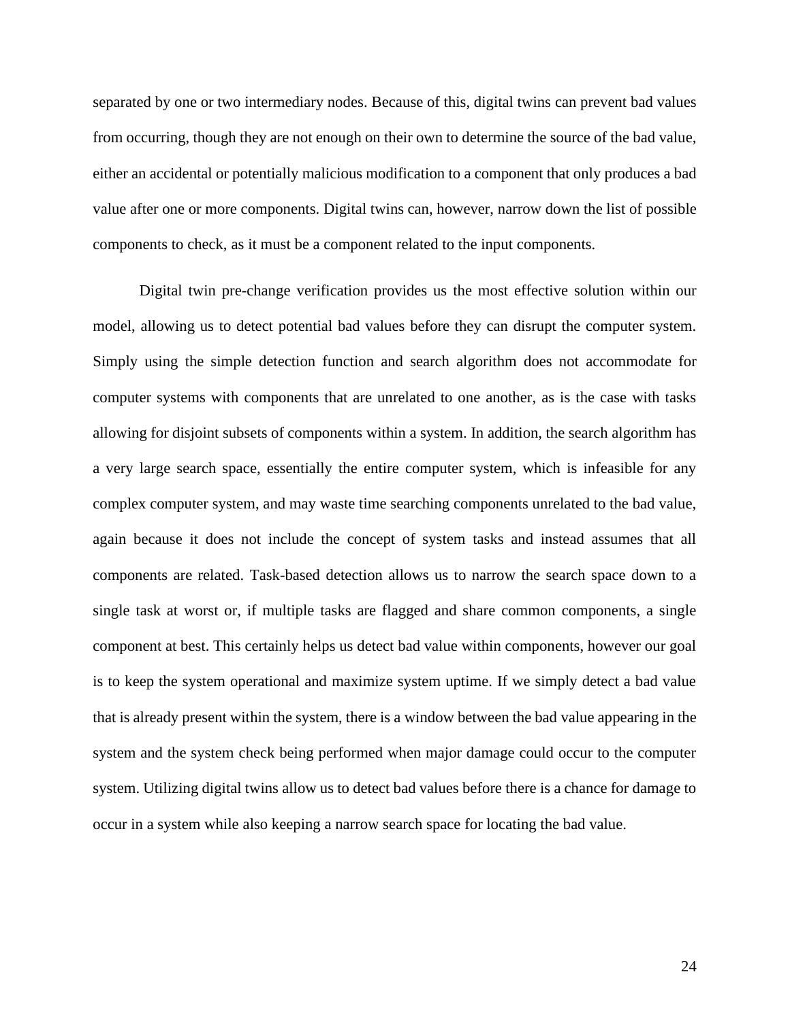separated by one or two intermediary nodes. Because of this, digital twins can prevent bad values from occurring, though they are not enough on their own to determine the source of the bad value, either an accidental or potentially malicious modification to a component that only produces a bad value after one or more components. Digital twins can, however, narrow down the list of possible components to check, as it must be a component related to the input components.

Digital twin pre-change verification provides us the most effective solution within our model, allowing us to detect potential bad values before they can disrupt the computer system. Simply using the simple detection function and search algorithm does not accommodate for computer systems with components that are unrelated to one another, as is the case with tasks allowing for disjoint subsets of components within a system. In addition, the search algorithm has a very large search space, essentially the entire computer system, which is infeasible for any complex computer system, and may waste time searching components unrelated to the bad value, again because it does not include the concept of system tasks and instead assumes that all components are related. Task-based detection allows us to narrow the search space down to a single task at worst or, if multiple tasks are flagged and share common components, a single component at best. This certainly helps us detect bad value within components, however our goal is to keep the system operational and maximize system uptime. If we simply detect a bad value that is already present within the system, there is a window between the bad value appearing in the system and the system check being performed when major damage could occur to the computer system. Utilizing digital twins allow us to detect bad values before there is a chance for damage to occur in a system while also keeping a narrow search space for locating the bad value.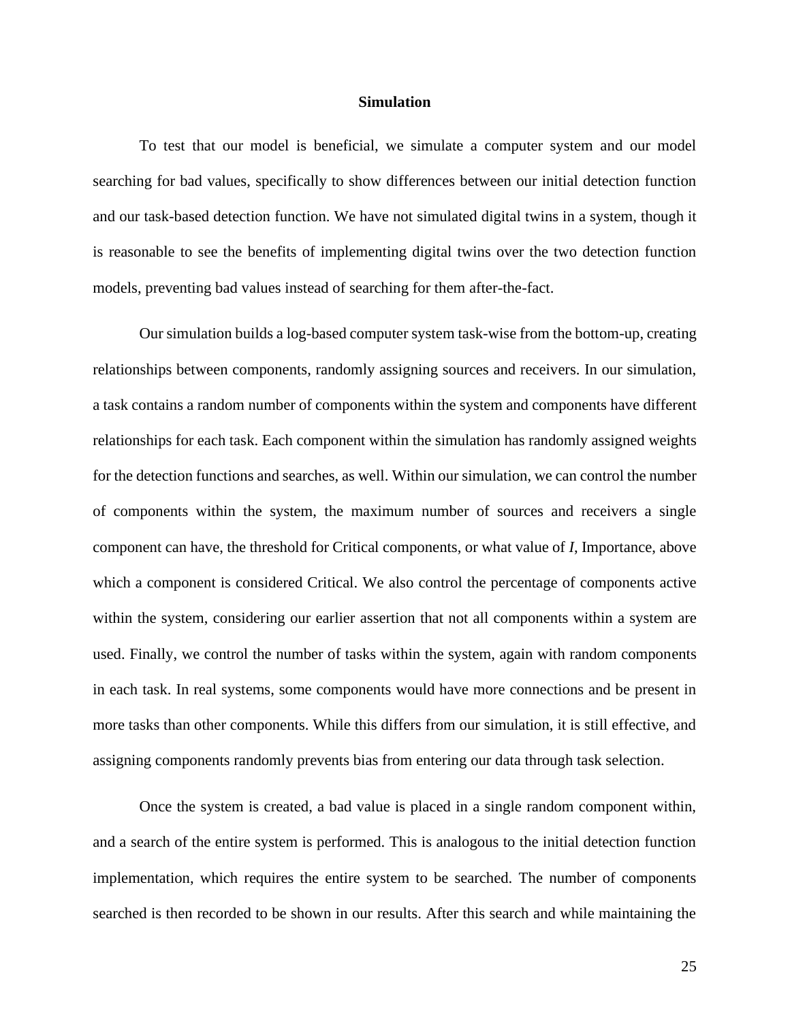#### **Simulation**

<span id="page-31-0"></span>To test that our model is beneficial, we simulate a computer system and our model searching for bad values, specifically to show differences between our initial detection function and our task-based detection function. We have not simulated digital twins in a system, though it is reasonable to see the benefits of implementing digital twins over the two detection function models, preventing bad values instead of searching for them after-the-fact.

Our simulation builds a log-based computer system task-wise from the bottom-up, creating relationships between components, randomly assigning sources and receivers. In our simulation, a task contains a random number of components within the system and components have different relationships for each task. Each component within the simulation has randomly assigned weights for the detection functions and searches, as well. Within our simulation, we can control the number of components within the system, the maximum number of sources and receivers a single component can have, the threshold for Critical components, or what value of *I*, Importance, above which a component is considered Critical. We also control the percentage of components active within the system, considering our earlier assertion that not all components within a system are used. Finally, we control the number of tasks within the system, again with random components in each task. In real systems, some components would have more connections and be present in more tasks than other components. While this differs from our simulation, it is still effective, and assigning components randomly prevents bias from entering our data through task selection.

Once the system is created, a bad value is placed in a single random component within, and a search of the entire system is performed. This is analogous to the initial detection function implementation, which requires the entire system to be searched. The number of components searched is then recorded to be shown in our results. After this search and while maintaining the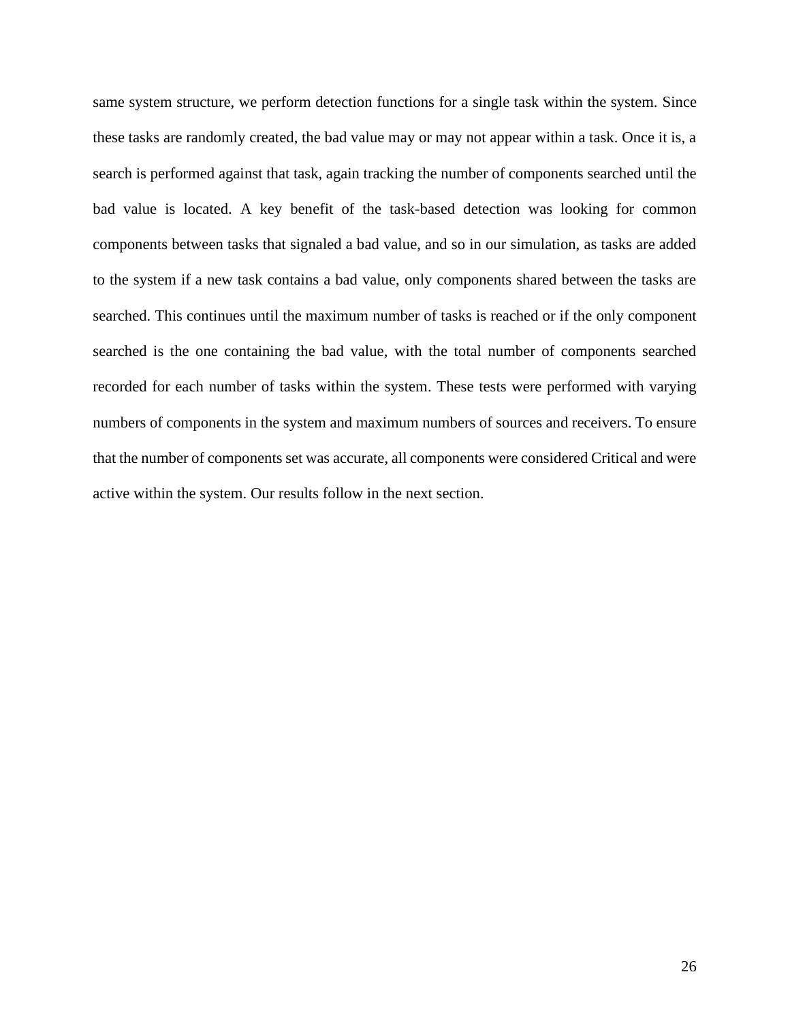same system structure, we perform detection functions for a single task within the system. Since these tasks are randomly created, the bad value may or may not appear within a task. Once it is, a search is performed against that task, again tracking the number of components searched until the bad value is located. A key benefit of the task-based detection was looking for common components between tasks that signaled a bad value, and so in our simulation, as tasks are added to the system if a new task contains a bad value, only components shared between the tasks are searched. This continues until the maximum number of tasks is reached or if the only component searched is the one containing the bad value, with the total number of components searched recorded for each number of tasks within the system. These tests were performed with varying numbers of components in the system and maximum numbers of sources and receivers. To ensure that the number of components set was accurate, all components were considered Critical and were active within the system. Our results follow in the next section.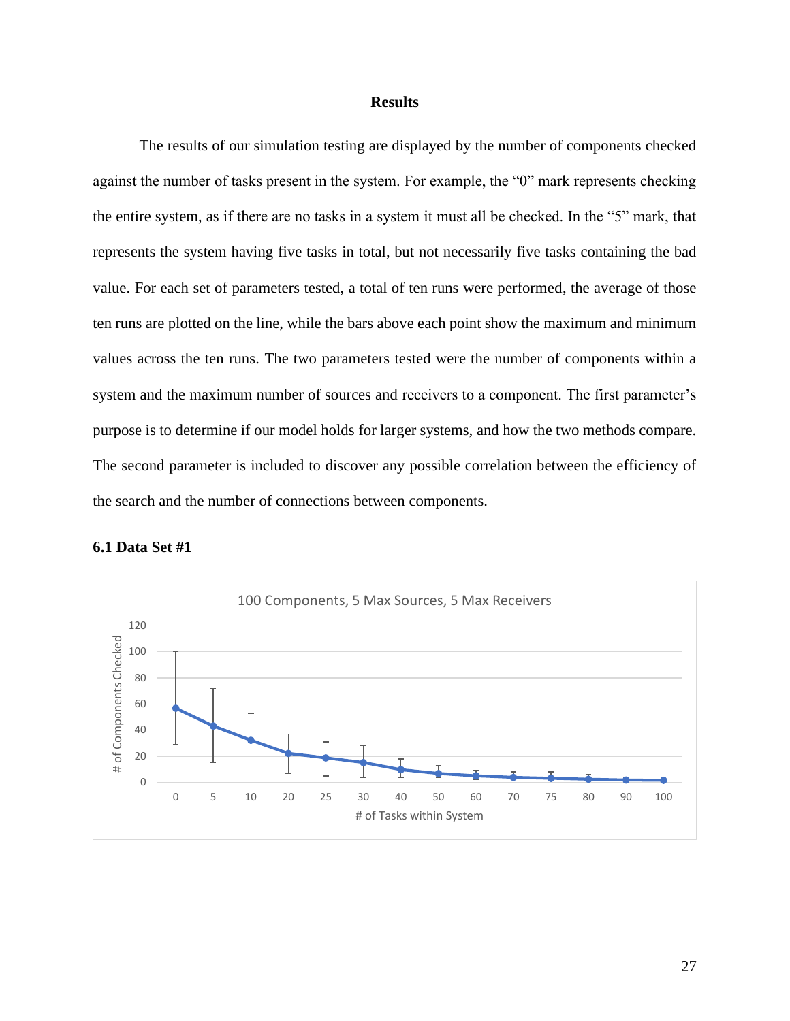#### **Results**

<span id="page-33-0"></span>The results of our simulation testing are displayed by the number of components checked against the number of tasks present in the system. For example, the "0" mark represents checking the entire system, as if there are no tasks in a system it must all be checked. In the "5" mark, that represents the system having five tasks in total, but not necessarily five tasks containing the bad value. For each set of parameters tested, a total of ten runs were performed, the average of those ten runs are plotted on the line, while the bars above each point show the maximum and minimum values across the ten runs. The two parameters tested were the number of components within a system and the maximum number of sources and receivers to a component. The first parameter's purpose is to determine if our model holds for larger systems, and how the two methods compare. The second parameter is included to discover any possible correlation between the efficiency of the search and the number of connections between components.



## <span id="page-33-1"></span>**6.1 Data Set #1**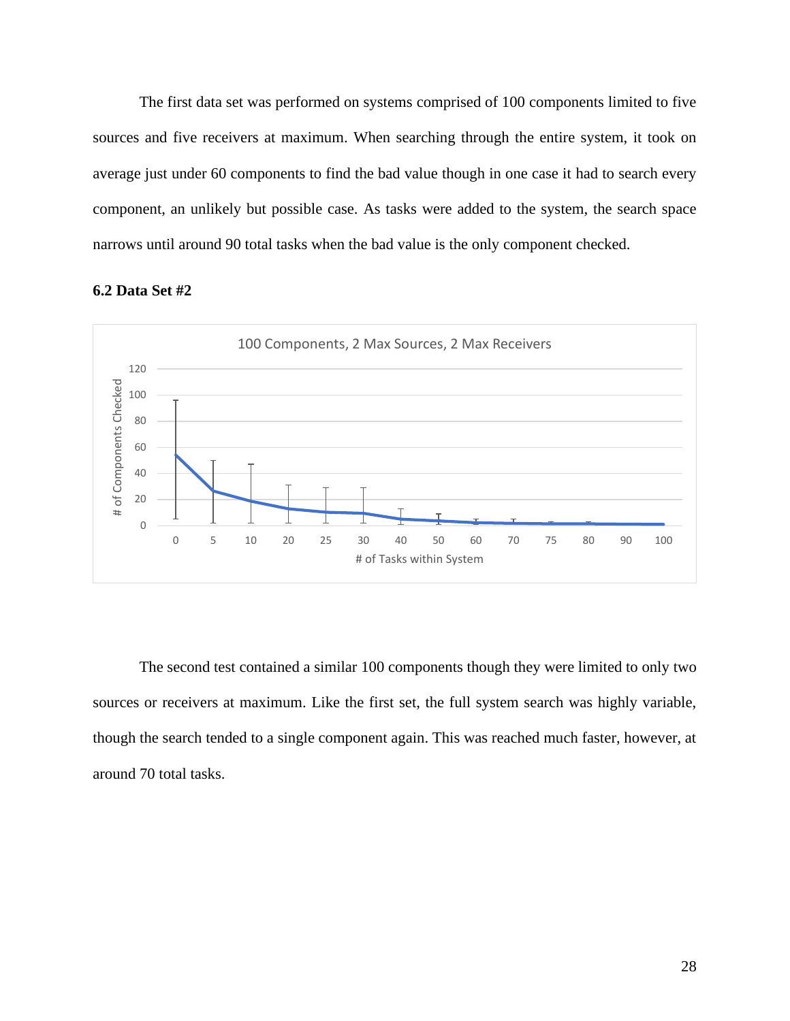The first data set was performed on systems comprised of 100 components limited to five sources and five receivers at maximum. When searching through the entire system, it took on average just under 60 components to find the bad value though in one case it had to search every component, an unlikely but possible case. As tasks were added to the system, the search space narrows until around 90 total tasks when the bad value is the only component checked.



#### <span id="page-34-0"></span>**6.2 Data Set #2**

The second test contained a similar 100 components though they were limited to only two sources or receivers at maximum. Like the first set, the full system search was highly variable, though the search tended to a single component again. This was reached much faster, however, at around 70 total tasks.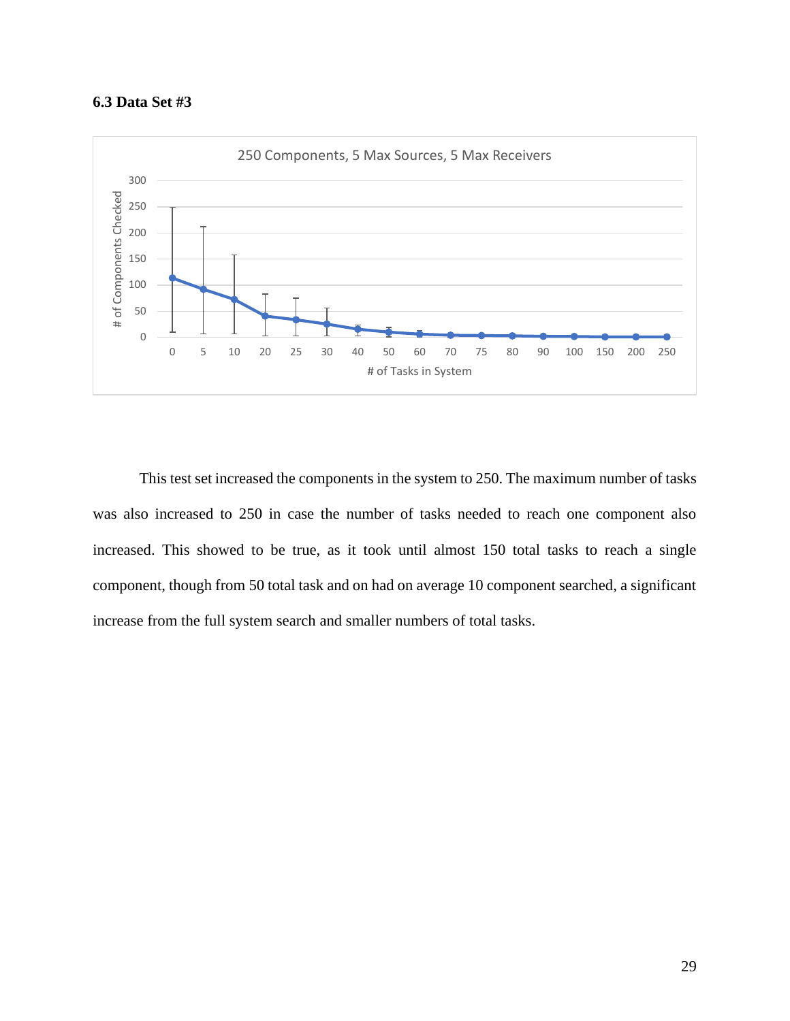## <span id="page-35-0"></span>**6.3 Data Set #3**



This test set increased the components in the system to 250. The maximum number of tasks was also increased to 250 in case the number of tasks needed to reach one component also increased. This showed to be true, as it took until almost 150 total tasks to reach a single component, though from 50 total task and on had on average 10 component searched, a significant increase from the full system search and smaller numbers of total tasks.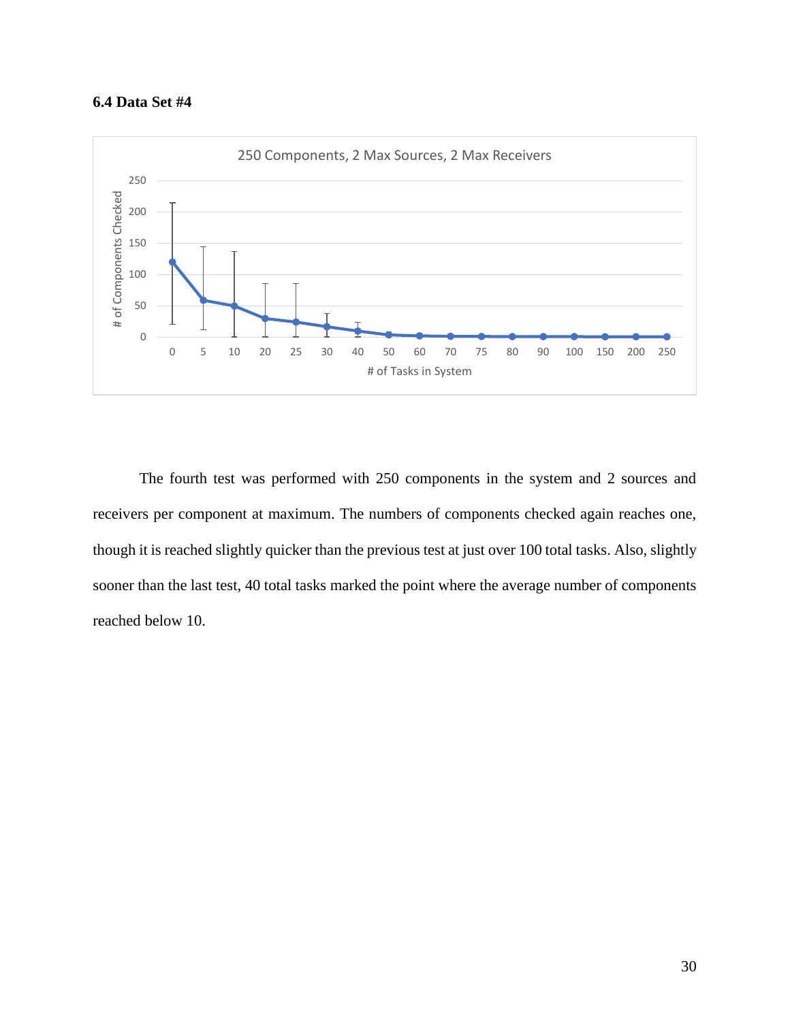## <span id="page-36-0"></span>**6.4 Data Set #4**



The fourth test was performed with 250 components in the system and 2 sources and receivers per component at maximum. The numbers of components checked again reaches one, though it is reached slightly quicker than the previous test at just over 100 total tasks. Also, slightly sooner than the last test, 40 total tasks marked the point where the average number of components reached below 10.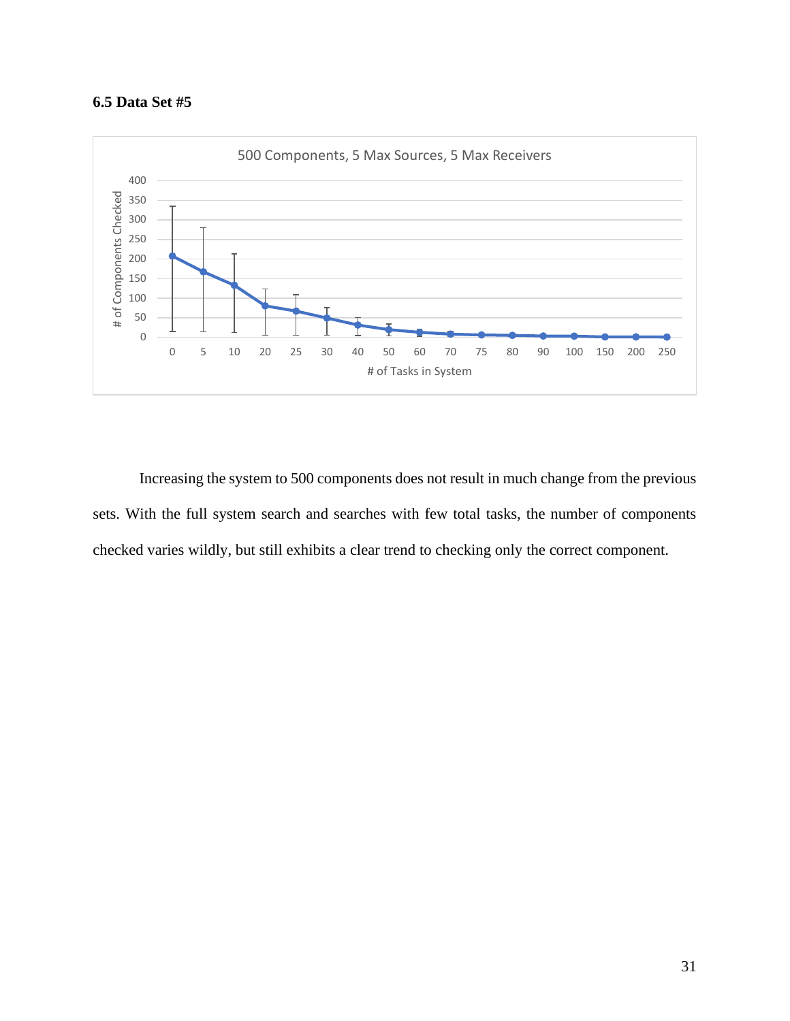## <span id="page-37-0"></span>**6.5 Data Set #5**



Increasing the system to 500 components does not result in much change from the previous sets. With the full system search and searches with few total tasks, the number of components checked varies wildly, but still exhibits a clear trend to checking only the correct component.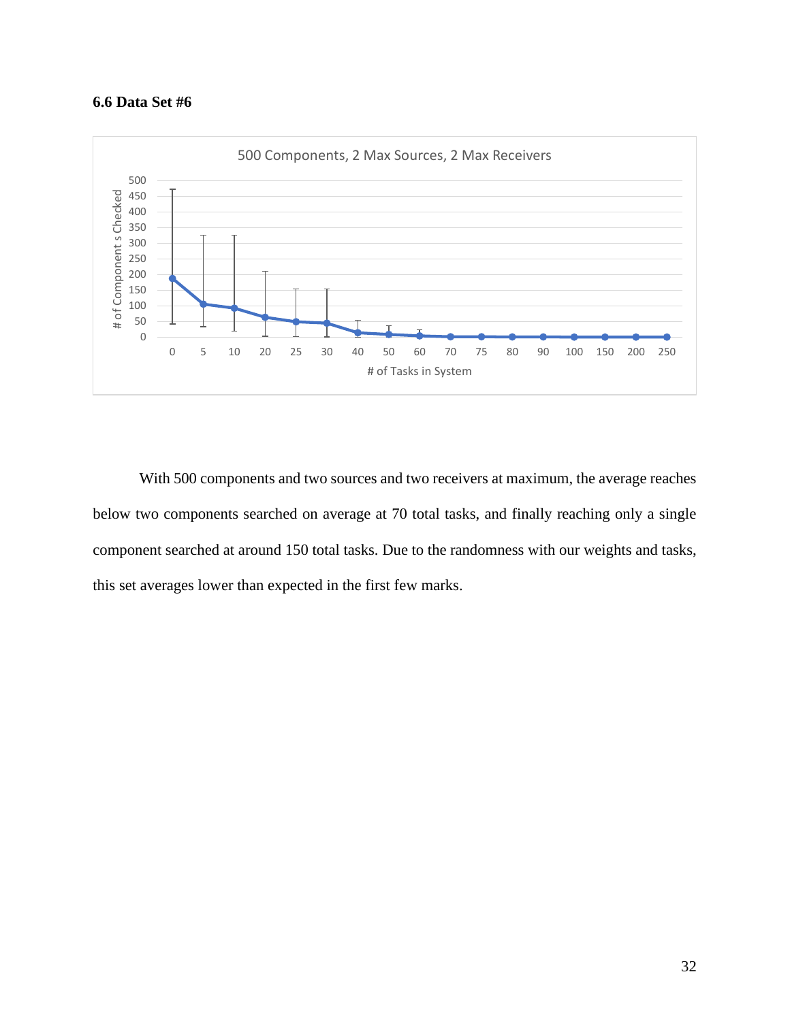## <span id="page-38-0"></span>**6.6 Data Set #6**



With 500 components and two sources and two receivers at maximum, the average reaches below two components searched on average at 70 total tasks, and finally reaching only a single component searched at around 150 total tasks. Due to the randomness with our weights and tasks, this set averages lower than expected in the first few marks.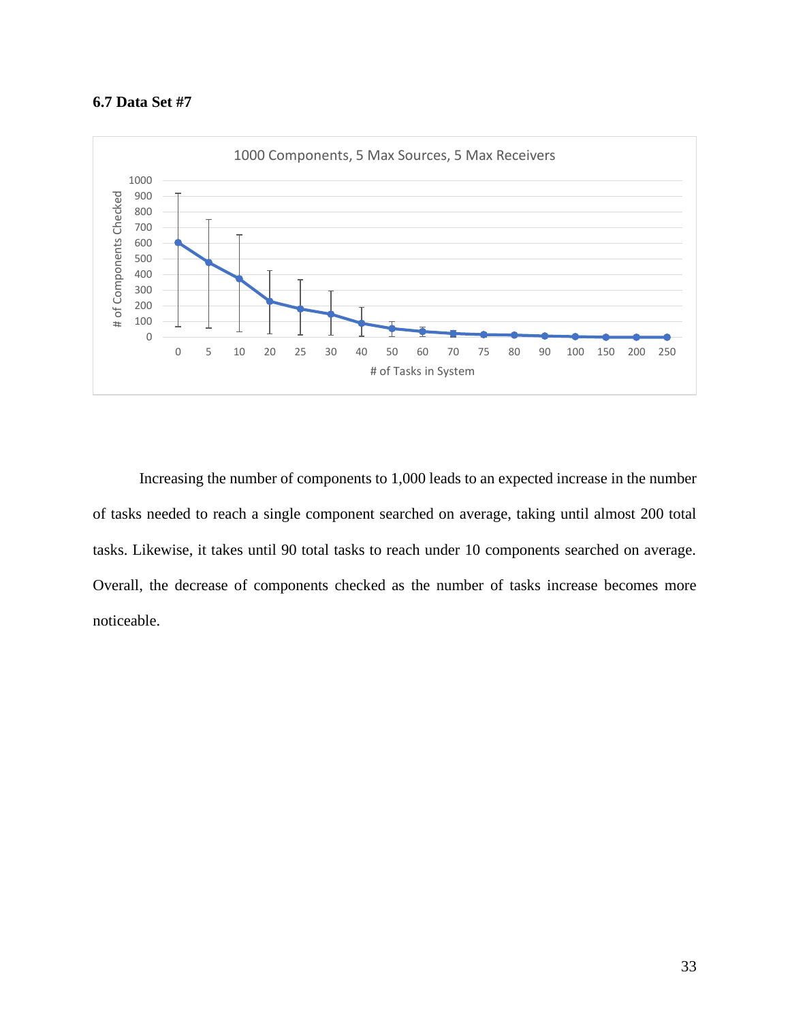## <span id="page-39-0"></span>**6.7 Data Set #7**



Increasing the number of components to 1,000 leads to an expected increase in the number of tasks needed to reach a single component searched on average, taking until almost 200 total tasks. Likewise, it takes until 90 total tasks to reach under 10 components searched on average. Overall, the decrease of components checked as the number of tasks increase becomes more noticeable.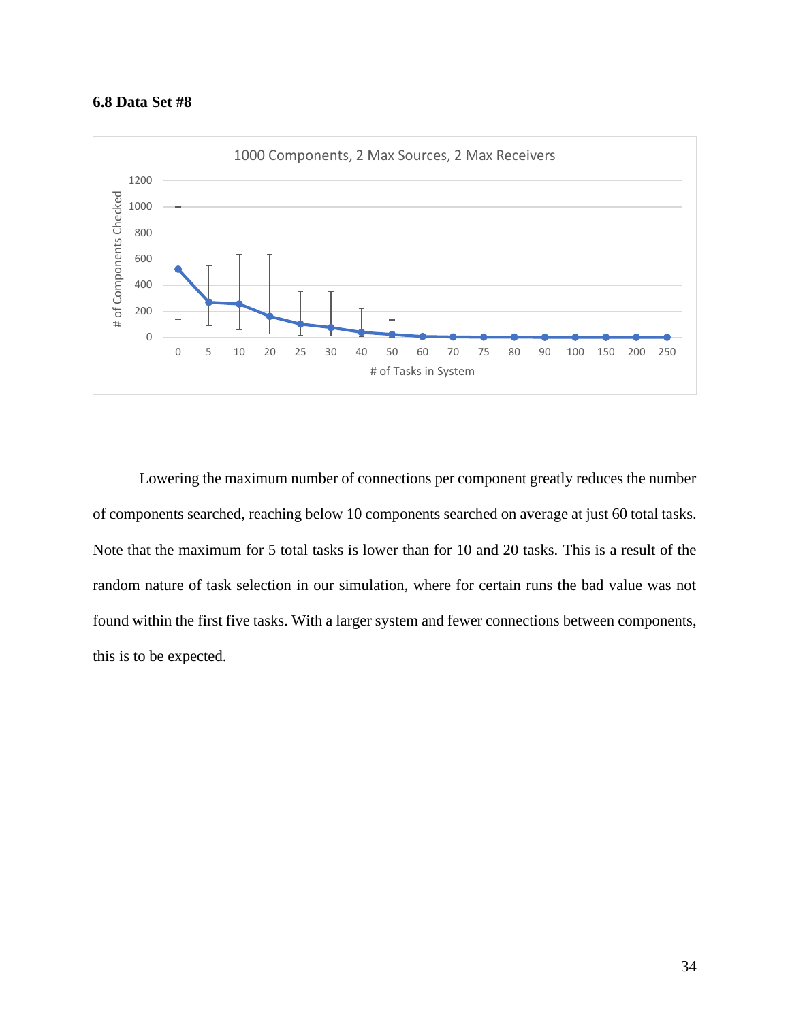## <span id="page-40-0"></span>**6.8 Data Set #8**



Lowering the maximum number of connections per component greatly reduces the number of components searched, reaching below 10 components searched on average at just 60 total tasks. Note that the maximum for 5 total tasks is lower than for 10 and 20 tasks. This is a result of the random nature of task selection in our simulation, where for certain runs the bad value was not found within the first five tasks. With a larger system and fewer connections between components, this is to be expected.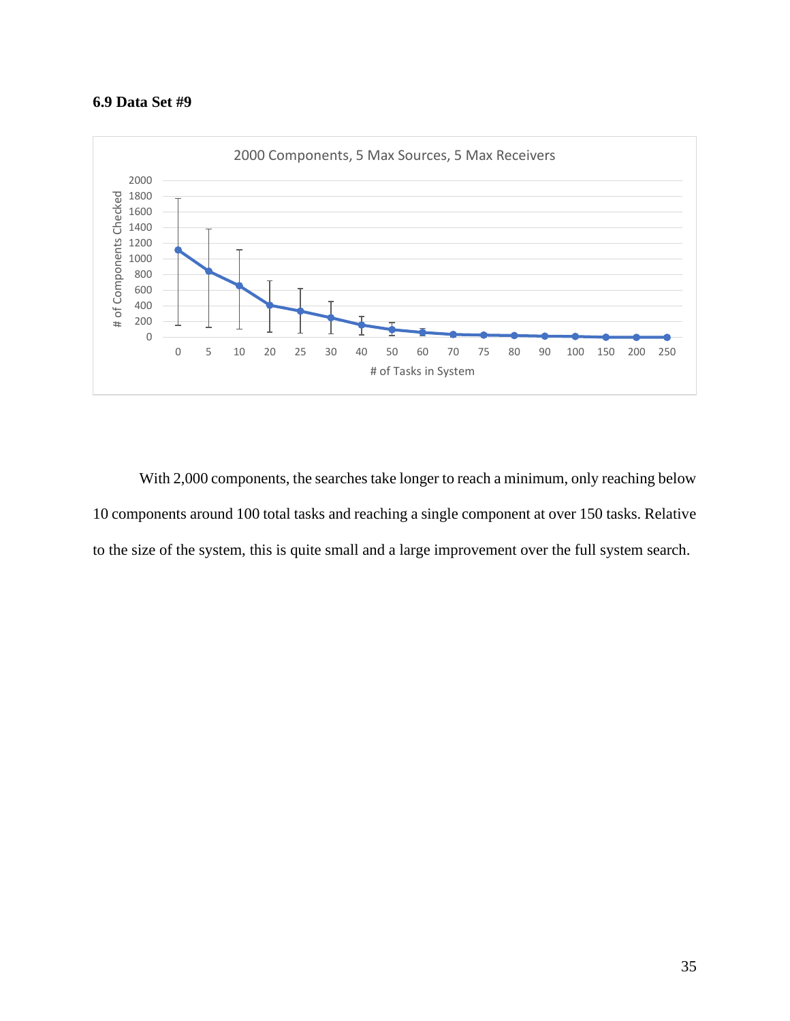## <span id="page-41-0"></span>**6.9 Data Set #9**



With 2,000 components, the searches take longer to reach a minimum, only reaching below 10 components around 100 total tasks and reaching a single component at over 150 tasks. Relative to the size of the system, this is quite small and a large improvement over the full system search.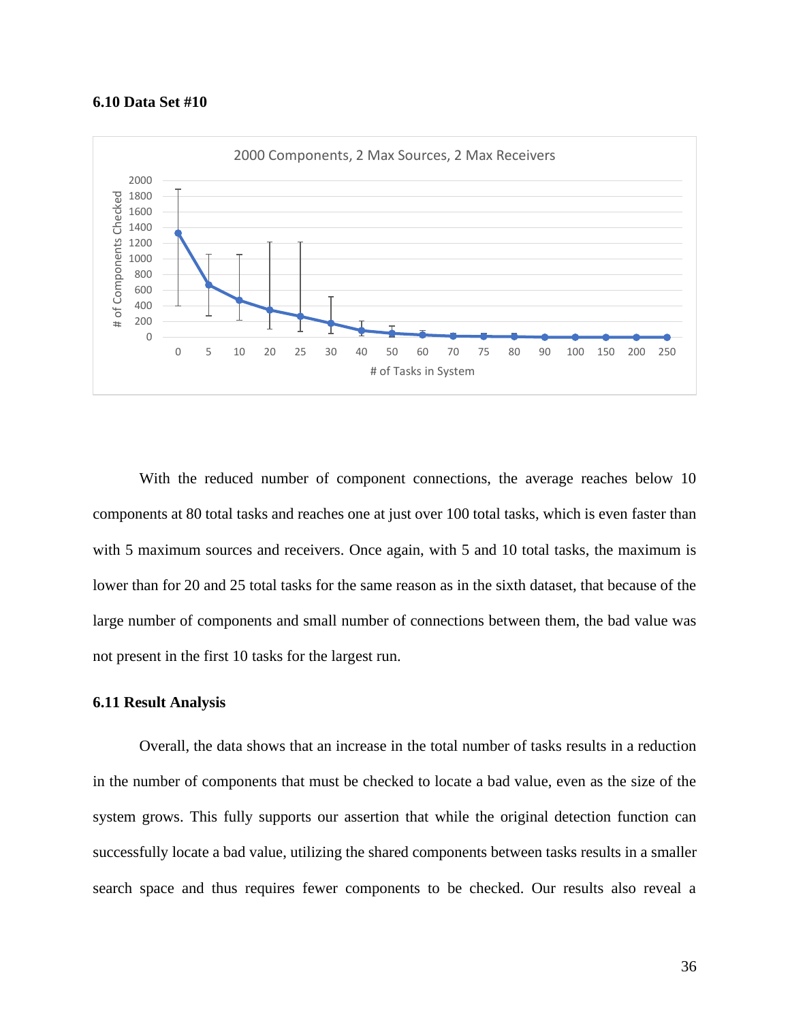#### <span id="page-42-0"></span>**6.10 Data Set #10**



With the reduced number of component connections, the average reaches below 10 components at 80 total tasks and reaches one at just over 100 total tasks, which is even faster than with 5 maximum sources and receivers. Once again, with 5 and 10 total tasks, the maximum is lower than for 20 and 25 total tasks for the same reason as in the sixth dataset, that because of the large number of components and small number of connections between them, the bad value was not present in the first 10 tasks for the largest run.

## <span id="page-42-1"></span>**6.11 Result Analysis**

Overall, the data shows that an increase in the total number of tasks results in a reduction in the number of components that must be checked to locate a bad value, even as the size of the system grows. This fully supports our assertion that while the original detection function can successfully locate a bad value, utilizing the shared components between tasks results in a smaller search space and thus requires fewer components to be checked. Our results also reveal a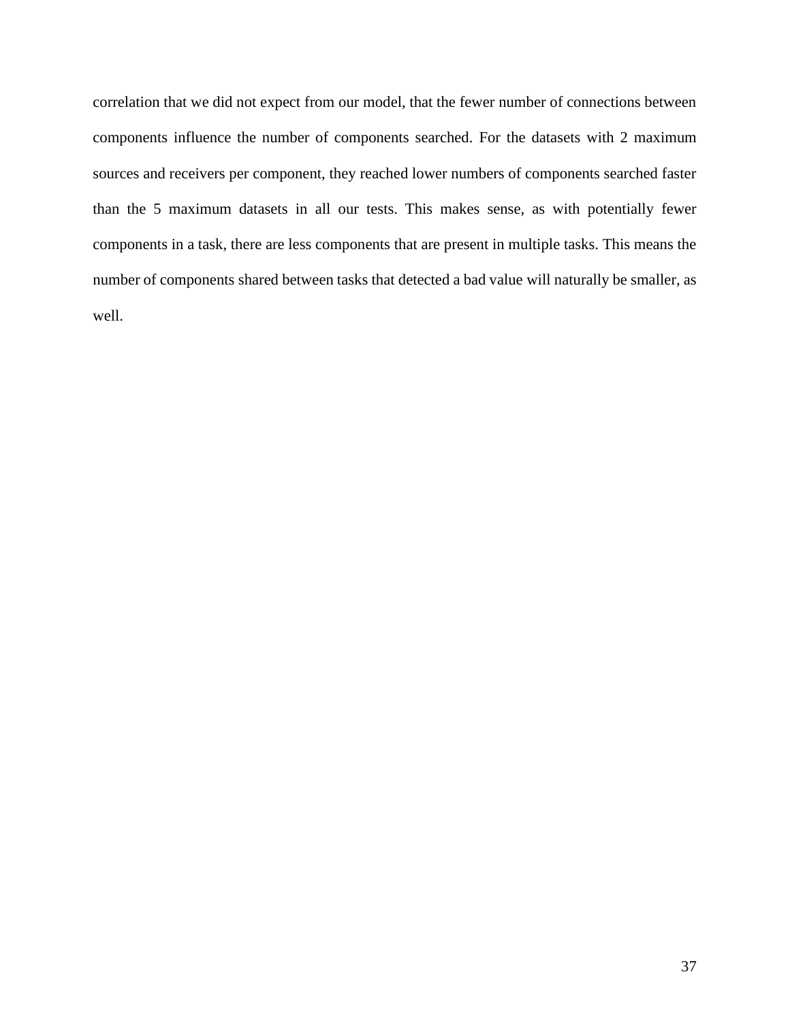correlation that we did not expect from our model, that the fewer number of connections between components influence the number of components searched. For the datasets with 2 maximum sources and receivers per component, they reached lower numbers of components searched faster than the 5 maximum datasets in all our tests. This makes sense, as with potentially fewer components in a task, there are less components that are present in multiple tasks. This means the number of components shared between tasks that detected a bad value will naturally be smaller, as well.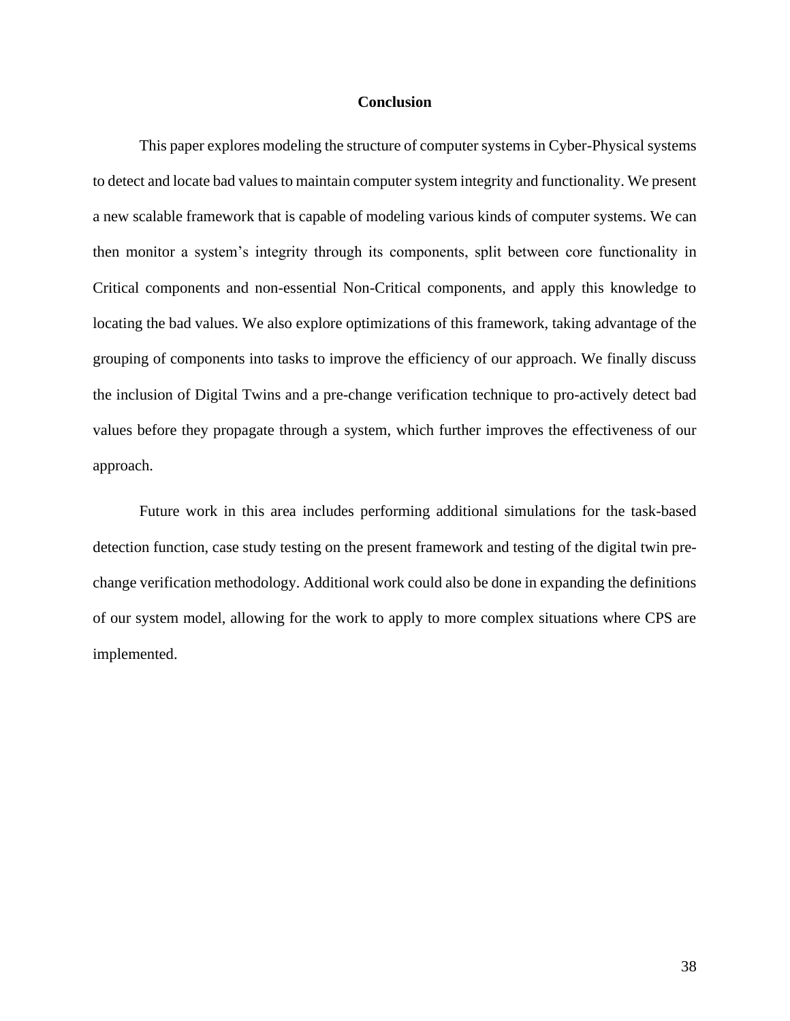#### **Conclusion**

<span id="page-44-0"></span>This paper explores modeling the structure of computer systems in Cyber-Physical systems to detect and locate bad values to maintain computer system integrity and functionality. We present a new scalable framework that is capable of modeling various kinds of computer systems. We can then monitor a system's integrity through its components, split between core functionality in Critical components and non-essential Non-Critical components, and apply this knowledge to locating the bad values. We also explore optimizations of this framework, taking advantage of the grouping of components into tasks to improve the efficiency of our approach. We finally discuss the inclusion of Digital Twins and a pre-change verification technique to pro-actively detect bad values before they propagate through a system, which further improves the effectiveness of our approach.

Future work in this area includes performing additional simulations for the task-based detection function, case study testing on the present framework and testing of the digital twin prechange verification methodology. Additional work could also be done in expanding the definitions of our system model, allowing for the work to apply to more complex situations where CPS are implemented.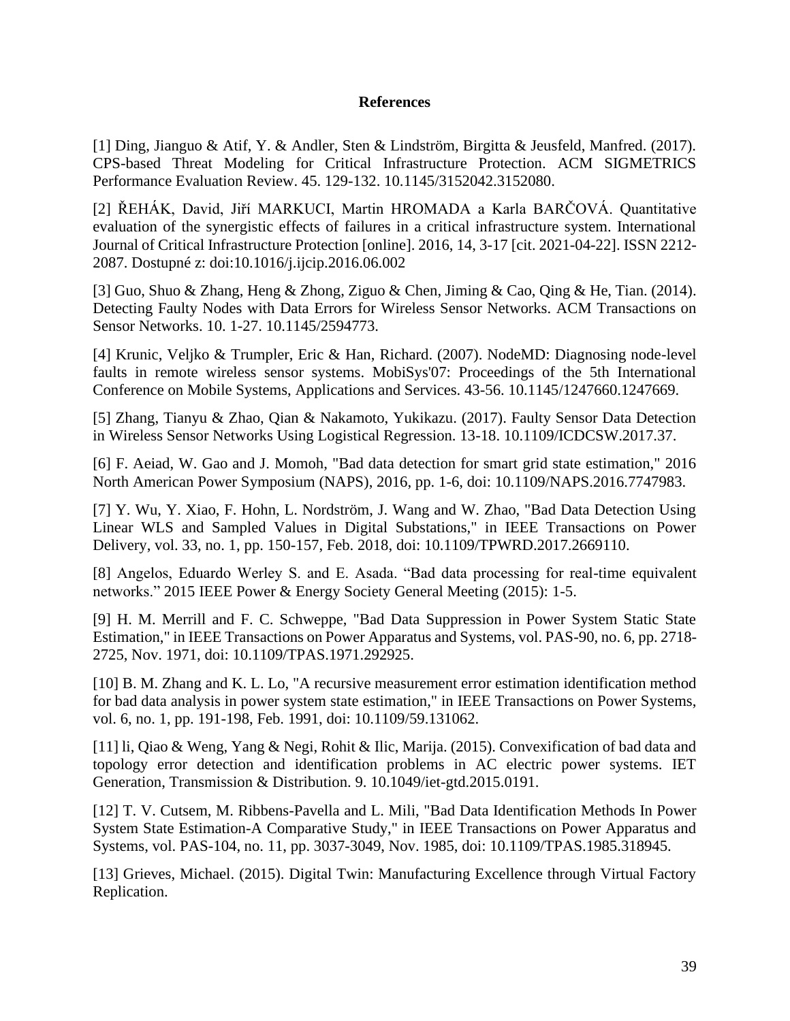## **References**

<span id="page-45-0"></span>[1] Ding, Jianguo & Atif, Y. & Andler, Sten & Lindström, Birgitta & Jeusfeld, Manfred. (2017). CPS-based Threat Modeling for Critical Infrastructure Protection. ACM SIGMETRICS Performance Evaluation Review. 45. 129-132. 10.1145/3152042.3152080.

[2] ŘEHÁK, David, Jiří MARKUCI, Martin HROMADA a Karla BARČOVÁ. Quantitative evaluation of the synergistic effects of failures in a critical infrastructure system. International Journal of Critical Infrastructure Protection [online]. 2016, 14, 3-17 [cit. 2021-04-22]. ISSN 2212- 2087. Dostupné z: doi:10.1016/j.ijcip.2016.06.002

[3] Guo, Shuo & Zhang, Heng & Zhong, Ziguo & Chen, Jiming & Cao, Qing & He, Tian. (2014). Detecting Faulty Nodes with Data Errors for Wireless Sensor Networks. ACM Transactions on Sensor Networks. 10. 1-27. 10.1145/2594773.

[4] Krunic, Veljko & Trumpler, Eric & Han, Richard. (2007). NodeMD: Diagnosing node-level faults in remote wireless sensor systems. MobiSys'07: Proceedings of the 5th International Conference on Mobile Systems, Applications and Services. 43-56. 10.1145/1247660.1247669.

[5] Zhang, Tianyu & Zhao, Qian & Nakamoto, Yukikazu. (2017). Faulty Sensor Data Detection in Wireless Sensor Networks Using Logistical Regression. 13-18. 10.1109/ICDCSW.2017.37.

[6] F. Aeiad, W. Gao and J. Momoh, "Bad data detection for smart grid state estimation," 2016 North American Power Symposium (NAPS), 2016, pp. 1-6, doi: 10.1109/NAPS.2016.7747983.

[7] Y. Wu, Y. Xiao, F. Hohn, L. Nordström, J. Wang and W. Zhao, "Bad Data Detection Using Linear WLS and Sampled Values in Digital Substations," in IEEE Transactions on Power Delivery, vol. 33, no. 1, pp. 150-157, Feb. 2018, doi: 10.1109/TPWRD.2017.2669110.

[8] Angelos, Eduardo Werley S. and E. Asada. "Bad data processing for real-time equivalent networks." 2015 IEEE Power & Energy Society General Meeting (2015): 1-5.

[9] H. M. Merrill and F. C. Schweppe, "Bad Data Suppression in Power System Static State Estimation," in IEEE Transactions on Power Apparatus and Systems, vol. PAS-90, no. 6, pp. 2718- 2725, Nov. 1971, doi: 10.1109/TPAS.1971.292925.

[10] B. M. Zhang and K. L. Lo, "A recursive measurement error estimation identification method for bad data analysis in power system state estimation," in IEEE Transactions on Power Systems, vol. 6, no. 1, pp. 191-198, Feb. 1991, doi: 10.1109/59.131062.

[11] li, Qiao & Weng, Yang & Negi, Rohit & Ilic, Marija. (2015). Convexification of bad data and topology error detection and identification problems in AC electric power systems. IET Generation, Transmission & Distribution. 9. 10.1049/iet-gtd.2015.0191.

[12] T. V. Cutsem, M. Ribbens-Pavella and L. Mili, "Bad Data Identification Methods In Power System State Estimation-A Comparative Study," in IEEE Transactions on Power Apparatus and Systems, vol. PAS-104, no. 11, pp. 3037-3049, Nov. 1985, doi: 10.1109/TPAS.1985.318945.

[13] Grieves, Michael. (2015). Digital Twin: Manufacturing Excellence through Virtual Factory Replication.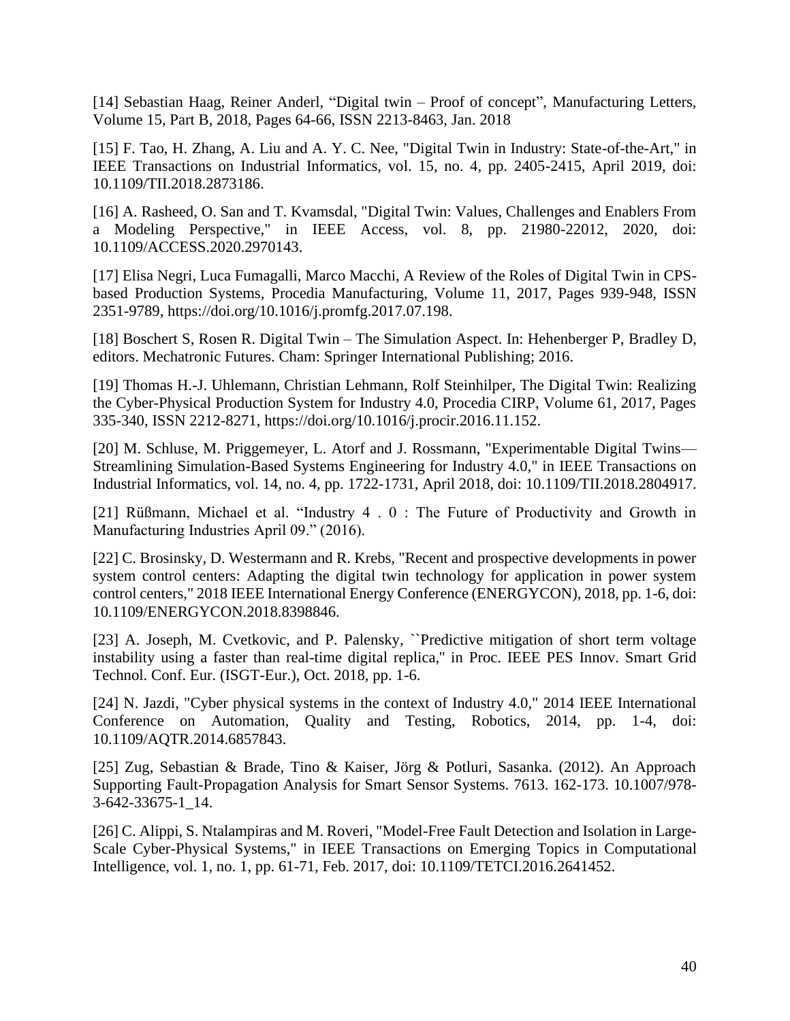[14] Sebastian Haag, Reiner Anderl, "Digital twin – Proof of concept", Manufacturing Letters, Volume 15, Part B, 2018, Pages 64-66, ISSN 2213-8463, Jan. 2018

[15] F. Tao, H. Zhang, A. Liu and A. Y. C. Nee, "Digital Twin in Industry: State-of-the-Art," in IEEE Transactions on Industrial Informatics, vol. 15, no. 4, pp. 2405-2415, April 2019, doi: 10.1109/TII.2018.2873186.

[16] A. Rasheed, O. San and T. Kvamsdal, "Digital Twin: Values, Challenges and Enablers From a Modeling Perspective," in IEEE Access, vol. 8, pp. 21980-22012, 2020, doi: 10.1109/ACCESS.2020.2970143.

[17] Elisa Negri, Luca Fumagalli, Marco Macchi, A Review of the Roles of Digital Twin in CPSbased Production Systems, Procedia Manufacturing, Volume 11, 2017, Pages 939-948, ISSN 2351-9789, https://doi.org/10.1016/j.promfg.2017.07.198.

[18] Boschert S, Rosen R. Digital Twin – The Simulation Aspect. In: Hehenberger P, Bradley D, editors. Mechatronic Futures. Cham: Springer International Publishing; 2016.

[19] Thomas H.-J. Uhlemann, Christian Lehmann, Rolf Steinhilper, The Digital Twin: Realizing the Cyber-Physical Production System for Industry 4.0, Procedia CIRP, Volume 61, 2017, Pages 335-340, ISSN 2212-8271, https://doi.org/10.1016/j.procir.2016.11.152.

[20] M. Schluse, M. Priggemeyer, L. Atorf and J. Rossmann, "Experimentable Digital Twins— Streamlining Simulation-Based Systems Engineering for Industry 4.0," in IEEE Transactions on Industrial Informatics, vol. 14, no. 4, pp. 1722-1731, April 2018, doi: 10.1109/TII.2018.2804917.

[21] Rüßmann, Michael et al. "Industry 4 . 0 : The Future of Productivity and Growth in Manufacturing Industries April 09." (2016).

[22] C. Brosinsky, D. Westermann and R. Krebs, "Recent and prospective developments in power system control centers: Adapting the digital twin technology for application in power system control centers," 2018 IEEE International Energy Conference (ENERGYCON), 2018, pp. 1-6, doi: 10.1109/ENERGYCON.2018.8398846.

[23] A. Joseph, M. Cvetkovic, and P. Palensky, "Predictive mitigation of short term voltage instability using a faster than real-time digital replica,'' in Proc. IEEE PES Innov. Smart Grid Technol. Conf. Eur. (ISGT-Eur.), Oct. 2018, pp. 1-6.

[24] N. Jazdi, "Cyber physical systems in the context of Industry 4.0," 2014 IEEE International Conference on Automation, Quality and Testing, Robotics, 2014, pp. 1-4, doi: 10.1109/AQTR.2014.6857843.

[25] Zug, Sebastian & Brade, Tino & Kaiser, Jörg & Potluri, Sasanka. (2012). An Approach Supporting Fault-Propagation Analysis for Smart Sensor Systems. 7613. 162-173. 10.1007/978- 3-642-33675-1\_14.

[26] C. Alippi, S. Ntalampiras and M. Roveri, "Model-Free Fault Detection and Isolation in Large-Scale Cyber-Physical Systems," in IEEE Transactions on Emerging Topics in Computational Intelligence, vol. 1, no. 1, pp. 61-71, Feb. 2017, doi: 10.1109/TETCI.2016.2641452.